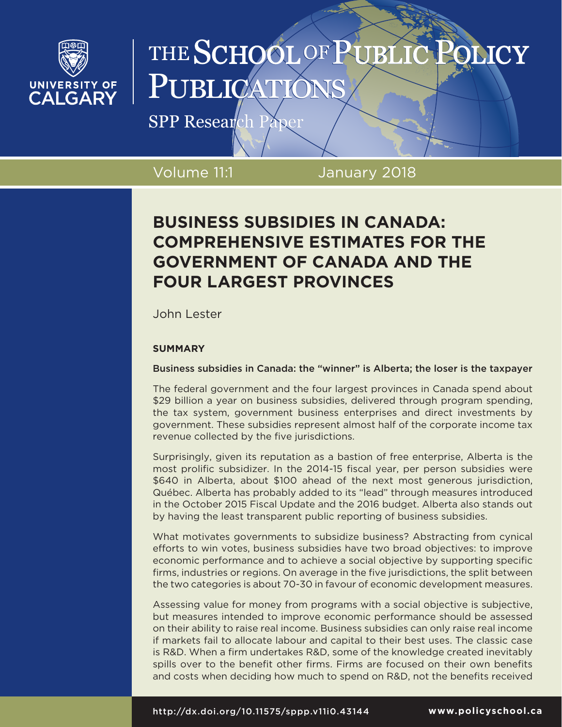

# THE SCHOOL OF PUBLIC **OMCY** PUBLICA

SPP Research Paper

Volume 11:1 January 2018

# **BUSINESS SUBSIDIES IN CANADA: COMPREHENSIVE ESTIMATES FOR THE GOVERNMENT OF CANADA AND THE FOUR LARGEST PROVINCES**

John Lester

# **SUMMARY**

Business subsidies in Canada: the "winner" is Alberta; the loser is the taxpayer

The federal government and the four largest provinces in Canada spend about \$29 billion a year on business subsidies, delivered through program spending, the tax system, government business enterprises and direct investments by government. These subsidies represent almost half of the corporate income tax revenue collected by the five jurisdictions.

Surprisingly, given its reputation as a bastion of free enterprise, Alberta is the most prolific subsidizer. In the 2014-15 fiscal year, per person subsidies were \$640 in Alberta, about \$100 ahead of the next most generous jurisdiction, Québec. Alberta has probably added to its "lead" through measures introduced in the October 2015 Fiscal Update and the 2016 budget. Alberta also stands out by having the least transparent public reporting of business subsidies.

What motivates governments to subsidize business? Abstracting from cynical efforts to win votes, business subsidies have two broad objectives: to improve economic performance and to achieve a social objective by supporting specific firms, industries or regions. On average in the five jurisdictions, the split between the two categories is about 70-30 in favour of economic development measures.

Assessing value for money from programs with a social objective is subjective, but measures intended to improve economic performance should be assessed on their ability to raise real income. Business subsidies can only raise real income if markets fail to allocate labour and capital to their best uses. The classic case is R&D. When a firm undertakes R&D, some of the knowledge created inevitably spills over to the benefit other firms. Firms are focused on their own benefits and costs when deciding how much to spend on R&D, not the benefits received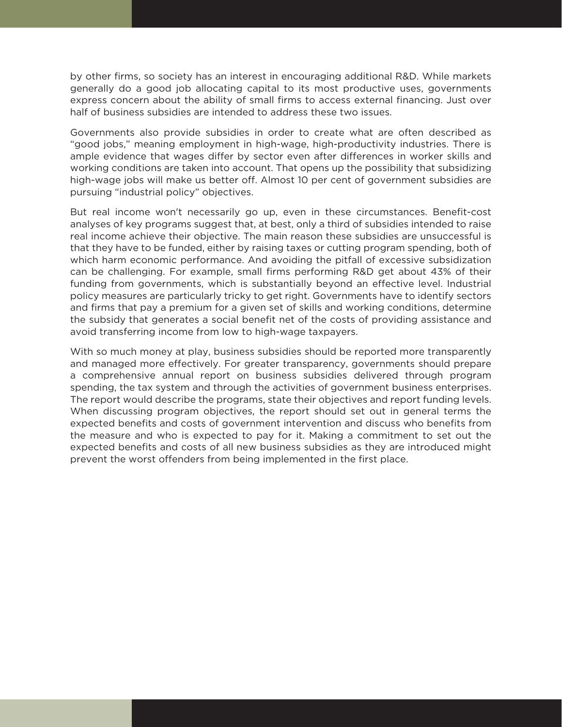by other firms, so society has an interest in encouraging additional R&D. While markets generally do a good job allocating capital to its most productive uses, governments express concern about the ability of small firms to access external financing. Just over half of business subsidies are intended to address these two issues.

Governments also provide subsidies in order to create what are often described as "good jobs," meaning employment in high-wage, high-productivity industries. There is ample evidence that wages differ by sector even after differences in worker skills and working conditions are taken into account. That opens up the possibility that subsidizing high-wage jobs will make us better off. Almost 10 per cent of government subsidies are pursuing "industrial policy" objectives.

But real income won't necessarily go up, even in these circumstances. Benefit-cost analyses of key programs suggest that, at best, only a third of subsidies intended to raise real income achieve their objective. The main reason these subsidies are unsuccessful is that they have to be funded, either by raising taxes or cutting program spending, both of which harm economic performance. And avoiding the pitfall of excessive subsidization can be challenging. For example, small firms performing R&D get about 43% of their funding from governments, which is substantially beyond an effective level. Industrial policy measures are particularly tricky to get right. Governments have to identify sectors and firms that pay a premium for a given set of skills and working conditions, determine the subsidy that generates a social benefit net of the costs of providing assistance and avoid transferring income from low to high-wage taxpayers.

With so much money at play, business subsidies should be reported more transparently and managed more effectively. For greater transparency, governments should prepare a comprehensive annual report on business subsidies delivered through program spending, the tax system and through the activities of government business enterprises. The report would describe the programs, state their objectives and report funding levels. When discussing program objectives, the report should set out in general terms the expected benefits and costs of government intervention and discuss who benefits from the measure and who is expected to pay for it. Making a commitment to set out the expected benefits and costs of all new business subsidies as they are introduced might prevent the worst offenders from being implemented in the first place.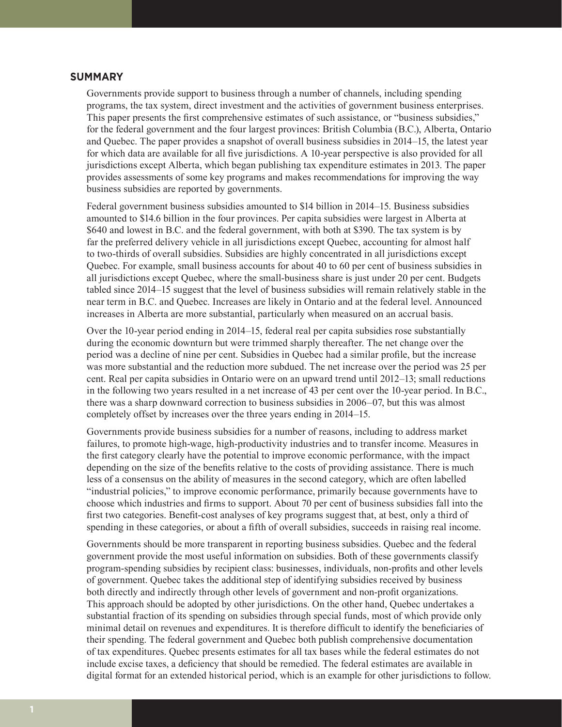## **SUMMARY**

Governments provide support to business through a number of channels, including spending programs, the tax system, direct investment and the activities of government business enterprises. This paper presents the first comprehensive estimates of such assistance, or "business subsidies," for the federal government and the four largest provinces: British Columbia (B.C.), Alberta, Ontario and Quebec. The paper provides a snapshot of overall business subsidies in 2014–15, the latest year for which data are available for all five jurisdictions. A 10-year perspective is also provided for all jurisdictions except Alberta, which began publishing tax expenditure estimates in 2013. The paper provides assessments of some key programs and makes recommendations for improving the way business subsidies are reported by governments.

Federal government business subsidies amounted to \$14 billion in 2014–15. Business subsidies amounted to \$14.6 billion in the four provinces. Per capita subsidies were largest in Alberta at \$640 and lowest in B.C. and the federal government, with both at \$390. The tax system is by far the preferred delivery vehicle in all jurisdictions except Quebec, accounting for almost half to two-thirds of overall subsidies. Subsidies are highly concentrated in all jurisdictions except Quebec. For example, small business accounts for about 40 to 60 per cent of business subsidies in all jurisdictions except Quebec, where the small-business share is just under 20 per cent. Budgets tabled since 2014–15 suggest that the level of business subsidies will remain relatively stable in the near term in B.C. and Quebec. Increases are likely in Ontario and at the federal level. Announced increases in Alberta are more substantial, particularly when measured on an accrual basis.

Over the 10-year period ending in 2014–15, federal real per capita subsidies rose substantially during the economic downturn but were trimmed sharply thereafter. The net change over the period was a decline of nine per cent. Subsidies in Quebec had a similar profile, but the increase was more substantial and the reduction more subdued. The net increase over the period was 25 per cent. Real per capita subsidies in Ontario were on an upward trend until 2012–13; small reductions in the following two years resulted in a net increase of 43 per cent over the 10-year period. In B.C., there was a sharp downward correction to business subsidies in 2006–07, but this was almost completely offset by increases over the three years ending in 2014–15.

Governments provide business subsidies for a number of reasons, including to address market failures, to promote high-wage, high-productivity industries and to transfer income. Measures in the first category clearly have the potential to improve economic performance, with the impact depending on the size of the benefits relative to the costs of providing assistance. There is much less of a consensus on the ability of measures in the second category, which are often labelled "industrial policies," to improve economic performance, primarily because governments have to choose which industries and firms to support. About 70 per cent of business subsidies fall into the first two categories. Benefit-cost analyses of key programs suggest that, at best, only a third of spending in these categories, or about a fifth of overall subsidies, succeeds in raising real income.

Governments should be more transparent in reporting business subsidies. Quebec and the federal government provide the most useful information on subsidies. Both of these governments classify program-spending subsidies by recipient class: businesses, individuals, non-profits and other levels of government. Quebec takes the additional step of identifying subsidies received by business both directly and indirectly through other levels of government and non-profit organizations. This approach should be adopted by other jurisdictions. On the other hand, Quebec undertakes a substantial fraction of its spending on subsidies through special funds, most of which provide only minimal detail on revenues and expenditures. It is therefore difficult to identify the beneficiaries of their spending. The federal government and Quebec both publish comprehensive documentation of tax expenditures. Quebec presents estimates for all tax bases while the federal estimates do not include excise taxes, a deficiency that should be remedied. The federal estimates are available in digital format for an extended historical period, which is an example for other jurisdictions to follow.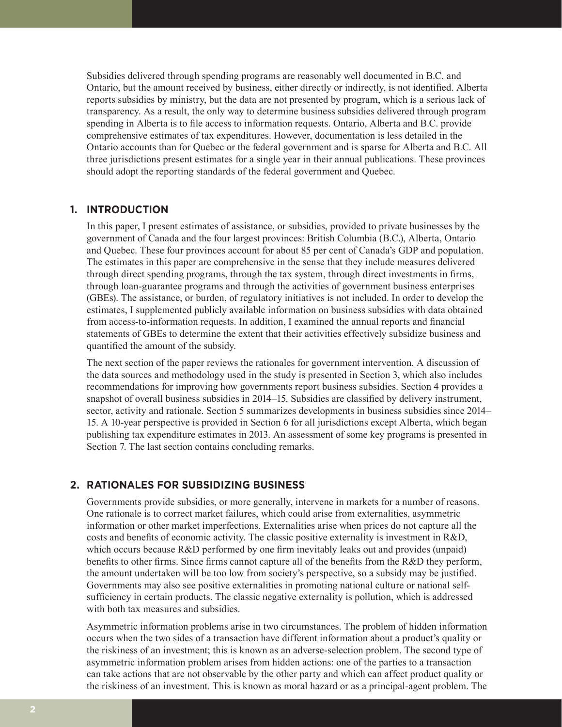Subsidies delivered through spending programs are reasonably well documented in B.C. and Ontario, but the amount received by business, either directly or indirectly, is not identified. Alberta reports subsidies by ministry, but the data are not presented by program, which is a serious lack of transparency. As a result, the only way to determine business subsidies delivered through program spending in Alberta is to file access to information requests. Ontario, Alberta and B.C. provide comprehensive estimates of tax expenditures. However, documentation is less detailed in the Ontario accounts than for Quebec or the federal government and is sparse for Alberta and B.C. All three jurisdictions present estimates for a single year in their annual publications. These provinces should adopt the reporting standards of the federal government and Quebec.

# **1. INTRODUCTION**

In this paper, I present estimates of assistance, or subsidies, provided to private businesses by the government of Canada and the four largest provinces: British Columbia (B.C.), Alberta, Ontario and Quebec. These four provinces account for about 85 per cent of Canada's GDP and population. The estimates in this paper are comprehensive in the sense that they include measures delivered through direct spending programs, through the tax system, through direct investments in firms, through loan-guarantee programs and through the activities of government business enterprises (GBEs). The assistance, or burden, of regulatory initiatives is not included. In order to develop the estimates, I supplemented publicly available information on business subsidies with data obtained from access-to-information requests. In addition, I examined the annual reports and financial statements of GBEs to determine the extent that their activities effectively subsidize business and quantified the amount of the subsidy.

The next section of the paper reviews the rationales for government intervention. A discussion of the data sources and methodology used in the study is presented in Section 3, which also includes recommendations for improving how governments report business subsidies. Section 4 provides a snapshot of overall business subsidies in 2014–15. Subsidies are classified by delivery instrument, sector, activity and rationale. Section 5 summarizes developments in business subsidies since 2014– 15. A 10-year perspective is provided in Section 6 for all jurisdictions except Alberta, which began publishing tax expenditure estimates in 2013. An assessment of some key programs is presented in Section 7. The last section contains concluding remarks.

# **2. RATIONALES FOR SUBSIDIZING BUSINESS**

Governments provide subsidies, or more generally, intervene in markets for a number of reasons. One rationale is to correct market failures, which could arise from externalities, asymmetric information or other market imperfections. Externalities arise when prices do not capture all the costs and benefits of economic activity. The classic positive externality is investment in R&D, which occurs because R&D performed by one firm inevitably leaks out and provides (unpaid) benefits to other firms. Since firms cannot capture all of the benefits from the R&D they perform, the amount undertaken will be too low from society's perspective, so a subsidy may be justified. Governments may also see positive externalities in promoting national culture or national selfsufficiency in certain products. The classic negative externality is pollution, which is addressed with both tax measures and subsidies.

Asymmetric information problems arise in two circumstances. The problem of hidden information occurs when the two sides of a transaction have different information about a product's quality or the riskiness of an investment; this is known as an adverse-selection problem. The second type of asymmetric information problem arises from hidden actions: one of the parties to a transaction can take actions that are not observable by the other party and which can affect product quality or the riskiness of an investment. This is known as moral hazard or as a principal-agent problem. The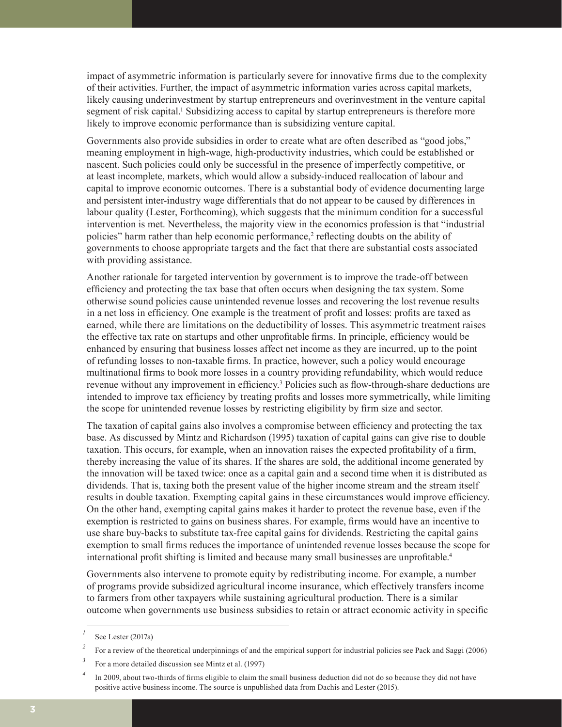impact of asymmetric information is particularly severe for innovative firms due to the complexity of their activities. Further, the impact of asymmetric information varies across capital markets, likely causing underinvestment by startup entrepreneurs and overinvestment in the venture capital segment of risk capital.<sup>1</sup> Subsidizing access to capital by startup entrepreneurs is therefore more likely to improve economic performance than is subsidizing venture capital.

Governments also provide subsidies in order to create what are often described as "good jobs," meaning employment in high-wage, high-productivity industries, which could be established or nascent. Such policies could only be successful in the presence of imperfectly competitive, or at least incomplete, markets, which would allow a subsidy-induced reallocation of labour and capital to improve economic outcomes. There is a substantial body of evidence documenting large and persistent inter-industry wage differentials that do not appear to be caused by differences in labour quality (Lester, Forthcoming), which suggests that the minimum condition for a successful intervention is met. Nevertheless, the majority view in the economics profession is that "industrial policies" harm rather than help economic performance,<sup>2</sup> reflecting doubts on the ability of governments to choose appropriate targets and the fact that there are substantial costs associated with providing assistance.

Another rationale for targeted intervention by government is to improve the trade-off between efficiency and protecting the tax base that often occurs when designing the tax system. Some otherwise sound policies cause unintended revenue losses and recovering the lost revenue results in a net loss in efficiency. One example is the treatment of profit and losses: profits are taxed as earned, while there are limitations on the deductibility of losses. This asymmetric treatment raises the effective tax rate on startups and other unprofitable firms. In principle, efficiency would be enhanced by ensuring that business losses affect net income as they are incurred, up to the point of refunding losses to non-taxable firms. In practice, however, such a policy would encourage multinational firms to book more losses in a country providing refundability, which would reduce revenue without any improvement in efficiency.<sup>3</sup> Policies such as flow-through-share deductions are intended to improve tax efficiency by treating profits and losses more symmetrically, while limiting the scope for unintended revenue losses by restricting eligibility by firm size and sector.

The taxation of capital gains also involves a compromise between efficiency and protecting the tax base. As discussed by Mintz and Richardson (1995) taxation of capital gains can give rise to double taxation. This occurs, for example, when an innovation raises the expected profitability of a firm, thereby increasing the value of its shares. If the shares are sold, the additional income generated by the innovation will be taxed twice: once as a capital gain and a second time when it is distributed as dividends. That is, taxing both the present value of the higher income stream and the stream itself results in double taxation. Exempting capital gains in these circumstances would improve efficiency. On the other hand, exempting capital gains makes it harder to protect the revenue base, even if the exemption is restricted to gains on business shares. For example, firms would have an incentive to use share buy-backs to substitute tax-free capital gains for dividends. Restricting the capital gains exemption to small firms reduces the importance of unintended revenue losses because the scope for international profit shifting is limited and because many small businesses are unprofitable.<sup>4</sup>

Governments also intervene to promote equity by redistributing income. For example, a number of programs provide subsidized agricultural income insurance, which effectively transfers income to farmers from other taxpayers while sustaining agricultural production. There is a similar outcome when governments use business subsidies to retain or attract economic activity in specific

*<sup>1</sup>* See Lester (2017a)

<sup>&</sup>lt;sup>2</sup> For a review of the theoretical underpinnings of and the empirical support for industrial policies see Pack and Saggi (2006)

<sup>&</sup>lt;sup>3</sup> For a more detailed discussion see Mintz et al. (1997)

*<sup>4</sup>* In 2009, about two-thirds of firms eligible to claim the small business deduction did not do so because they did not have positive active business income. The source is unpublished data from Dachis and Lester (2015).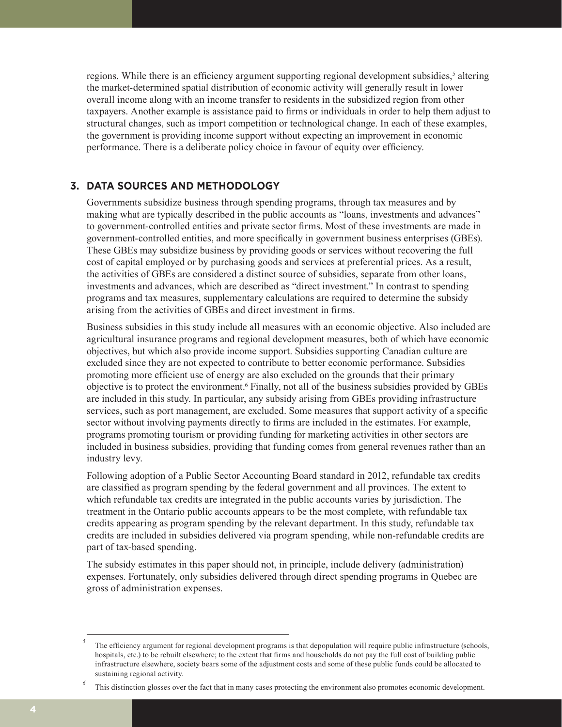regions. While there is an efficiency argument supporting regional development subsidies,<sup>5</sup> altering the market-determined spatial distribution of economic activity will generally result in lower overall income along with an income transfer to residents in the subsidized region from other taxpayers. Another example is assistance paid to firms or individuals in order to help them adjust to structural changes, such as import competition or technological change. In each of these examples, the government is providing income support without expecting an improvement in economic performance. There is a deliberate policy choice in favour of equity over efficiency.

# **3. DATA SOURCES AND METHODOLOGY**

Governments subsidize business through spending programs, through tax measures and by making what are typically described in the public accounts as "loans, investments and advances" to government-controlled entities and private sector firms. Most of these investments are made in government-controlled entities, and more specifically in government business enterprises (GBEs). These GBEs may subsidize business by providing goods or services without recovering the full cost of capital employed or by purchasing goods and services at preferential prices. As a result, the activities of GBEs are considered a distinct source of subsidies, separate from other loans, investments and advances, which are described as "direct investment." In contrast to spending programs and tax measures, supplementary calculations are required to determine the subsidy arising from the activities of GBEs and direct investment in firms.

Business subsidies in this study include all measures with an economic objective. Also included are agricultural insurance programs and regional development measures, both of which have economic objectives, but which also provide income support. Subsidies supporting Canadian culture are excluded since they are not expected to contribute to better economic performance. Subsidies promoting more efficient use of energy are also excluded on the grounds that their primary objective is to protect the environment.<sup>6</sup> Finally, not all of the business subsidies provided by GBEs are included in this study. In particular, any subsidy arising from GBEs providing infrastructure services, such as port management, are excluded. Some measures that support activity of a specific sector without involving payments directly to firms are included in the estimates. For example, programs promoting tourism or providing funding for marketing activities in other sectors are included in business subsidies, providing that funding comes from general revenues rather than an industry levy.

Following adoption of a Public Sector Accounting Board standard in 2012, refundable tax credits are classified as program spending by the federal government and all provinces. The extent to which refundable tax credits are integrated in the public accounts varies by jurisdiction. The treatment in the Ontario public accounts appears to be the most complete, with refundable tax credits appearing as program spending by the relevant department. In this study, refundable tax credits are included in subsidies delivered via program spending, while non-refundable credits are part of tax-based spending.

The subsidy estimates in this paper should not, in principle, include delivery (administration) expenses. Fortunately, only subsidies delivered through direct spending programs in Quebec are gross of administration expenses.

*<sup>5</sup>* The efficiency argument for regional development programs is that depopulation will require public infrastructure (schools, hospitals, etc.) to be rebuilt elsewhere; to the extent that firms and households do not pay the full cost of building public infrastructure elsewhere, society bears some of the adjustment costs and some of these public funds could be allocated to sustaining regional activity.

*<sup>6</sup>* This distinction glosses over the fact that in many cases protecting the environment also promotes economic development.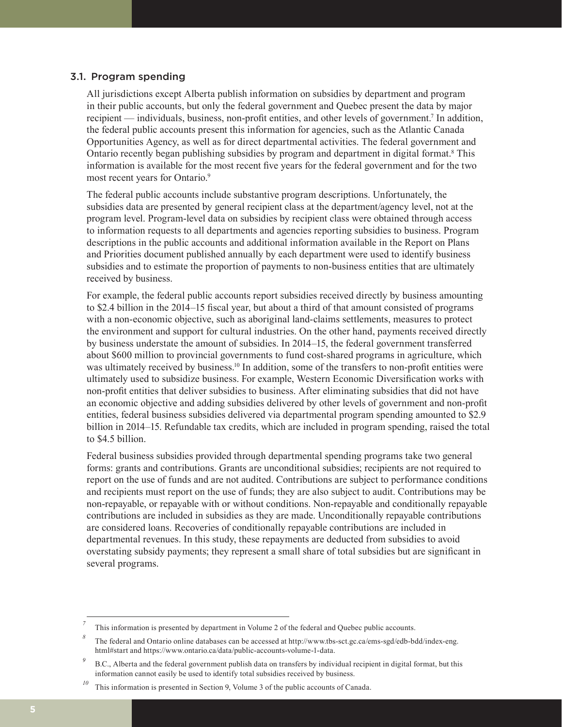#### 3.1. Program spending

All jurisdictions except Alberta publish information on subsidies by department and program in their public accounts, but only the federal government and Quebec present the data by major recipient — individuals, business, non-profit entities, and other levels of government.<sup>7</sup> In addition, the federal public accounts present this information for agencies, such as the Atlantic Canada Opportunities Agency, as well as for direct departmental activities. The federal government and Ontario recently began publishing subsidies by program and department in digital format.<sup>8</sup> This information is available for the most recent five years for the federal government and for the two most recent years for Ontario.<sup>9</sup>

The federal public accounts include substantive program descriptions. Unfortunately, the subsidies data are presented by general recipient class at the department/agency level, not at the program level. Program-level data on subsidies by recipient class were obtained through access to information requests to all departments and agencies reporting subsidies to business. Program descriptions in the public accounts and additional information available in the Report on Plans and Priorities document published annually by each department were used to identify business subsidies and to estimate the proportion of payments to non-business entities that are ultimately received by business.

For example, the federal public accounts report subsidies received directly by business amounting to \$2.4 billion in the 2014–15 fiscal year, but about a third of that amount consisted of programs with a non-economic objective, such as aboriginal land-claims settlements, measures to protect the environment and support for cultural industries. On the other hand, payments received directly by business understate the amount of subsidies. In 2014–15, the federal government transferred about \$600 million to provincial governments to fund cost-shared programs in agriculture, which was ultimately received by business.<sup>10</sup> In addition, some of the transfers to non-profit entities were ultimately used to subsidize business. For example, Western Economic Diversification works with non-profit entities that deliver subsidies to business. After eliminating subsidies that did not have an economic objective and adding subsidies delivered by other levels of government and non-profit entities, federal business subsidies delivered via departmental program spending amounted to \$2.9 billion in 2014–15. Refundable tax credits, which are included in program spending, raised the total to \$4.5 billion.

Federal business subsidies provided through departmental spending programs take two general forms: grants and contributions. Grants are unconditional subsidies; recipients are not required to report on the use of funds and are not audited. Contributions are subject to performance conditions and recipients must report on the use of funds; they are also subject to audit. Contributions may be non-repayable, or repayable with or without conditions. Non-repayable and conditionally repayable contributions are included in subsidies as they are made. Unconditionally repayable contributions are considered loans. Recoveries of conditionally repayable contributions are included in departmental revenues. In this study, these repayments are deducted from subsidies to avoid overstating subsidy payments; they represent a small share of total subsidies but are significant in several programs.

*<sup>7</sup>* This information is presented by department in Volume 2 of the federal and Quebec public accounts.

*<sup>8</sup>* The federal and Ontario online databases can be accessed at http://www.tbs-sct.gc.ca/ems-sgd/edb-bdd/index-eng. html#start and https://www.ontario.ca/data/public-accounts-volume-1-data.

<sup>&</sup>lt;sup>9</sup> B.C., Alberta and the federal government publish data on transfers by individual recipient in digital format, but this information cannot easily be used to identify total subsidies received by business.

This information is presented in Section 9, Volume 3 of the public accounts of Canada.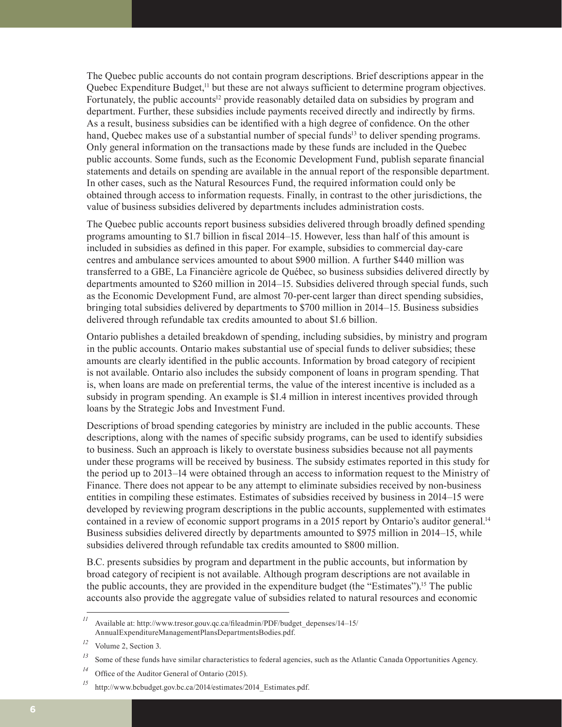The Quebec public accounts do not contain program descriptions. Brief descriptions appear in the Quebec Expenditure Budget,<sup>11</sup> but these are not always sufficient to determine program objectives. Fortunately, the public accounts<sup>12</sup> provide reasonably detailed data on subsidies by program and department. Further, these subsidies include payments received directly and indirectly by firms. As a result, business subsidies can be identified with a high degree of confidence. On the other hand, Quebec makes use of a substantial number of special funds<sup>13</sup> to deliver spending programs. Only general information on the transactions made by these funds are included in the Quebec public accounts. Some funds, such as the Economic Development Fund, publish separate financial statements and details on spending are available in the annual report of the responsible department. In other cases, such as the Natural Resources Fund, the required information could only be obtained through access to information requests. Finally, in contrast to the other jurisdictions, the value of business subsidies delivered by departments includes administration costs.

The Quebec public accounts report business subsidies delivered through broadly defined spending programs amounting to \$1.7 billion in fiscal 2014–15. However, less than half of this amount is included in subsidies as defined in this paper. For example, subsidies to commercial day-care centres and ambulance services amounted to about \$900 million. A further \$440 million was transferred to a GBE, La Financière agricole de Québec, so business subsidies delivered directly by departments amounted to \$260 million in 2014–15. Subsidies delivered through special funds, such as the Economic Development Fund, are almost 70-per-cent larger than direct spending subsidies, bringing total subsidies delivered by departments to \$700 million in 2014–15. Business subsidies delivered through refundable tax credits amounted to about \$1.6 billion.

Ontario publishes a detailed breakdown of spending, including subsidies, by ministry and program in the public accounts. Ontario makes substantial use of special funds to deliver subsidies; these amounts are clearly identified in the public accounts. Information by broad category of recipient is not available. Ontario also includes the subsidy component of loans in program spending. That is, when loans are made on preferential terms, the value of the interest incentive is included as a subsidy in program spending. An example is \$1.4 million in interest incentives provided through loans by the Strategic Jobs and Investment Fund.

Descriptions of broad spending categories by ministry are included in the public accounts. These descriptions, along with the names of specific subsidy programs, can be used to identify subsidies to business. Such an approach is likely to overstate business subsidies because not all payments under these programs will be received by business. The subsidy estimates reported in this study for the period up to 2013–14 were obtained through an access to information request to the Ministry of Finance. There does not appear to be any attempt to eliminate subsidies received by non-business entities in compiling these estimates. Estimates of subsidies received by business in 2014–15 were developed by reviewing program descriptions in the public accounts, supplemented with estimates contained in a review of economic support programs in a 2015 report by Ontario's auditor general.<sup>14</sup> Business subsidies delivered directly by departments amounted to \$975 million in 2014–15, while subsidies delivered through refundable tax credits amounted to \$800 million.

B.C. presents subsidies by program and department in the public accounts, but information by broad category of recipient is not available. Although program descriptions are not available in the public accounts, they are provided in the expenditure budget (the "Estimates").15 The public accounts also provide the aggregate value of subsidies related to natural resources and economic

*<sup>11</sup>* Available at: http://www.tresor.gouv.qc.ca/fileadmin/PDF/budget\_depenses/14–15/ AnnualExpenditureManagementPlansDepartmentsBodies.pdf.

*<sup>12</sup>* Volume 2, Section 3.

<sup>&</sup>lt;sup>13</sup> Some of these funds have similar characteristics to federal agencies, such as the Atlantic Canada Opportunities Agency.

*<sup>14</sup>* Office of the Auditor General of Ontario (2015).

<sup>&</sup>lt;sup>15</sup> http://www.bcbudget.gov.bc.ca/2014/estimates/2014\_Estimates.pdf.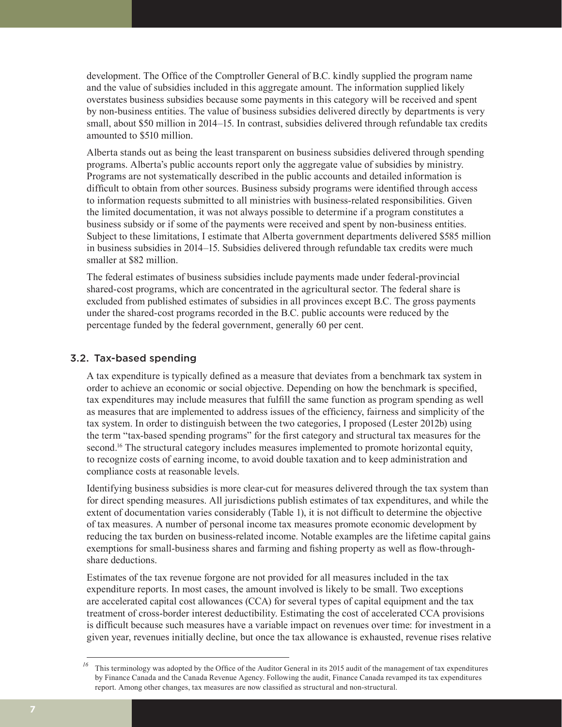development. The Office of the Comptroller General of B.C. kindly supplied the program name and the value of subsidies included in this aggregate amount. The information supplied likely overstates business subsidies because some payments in this category will be received and spent by non-business entities. The value of business subsidies delivered directly by departments is very small, about \$50 million in 2014–15. In contrast, subsidies delivered through refundable tax credits amounted to \$510 million.

Alberta stands out as being the least transparent on business subsidies delivered through spending programs. Alberta's public accounts report only the aggregate value of subsidies by ministry. Programs are not systematically described in the public accounts and detailed information is difficult to obtain from other sources. Business subsidy programs were identified through access to information requests submitted to all ministries with business-related responsibilities. Given the limited documentation, it was not always possible to determine if a program constitutes a business subsidy or if some of the payments were received and spent by non-business entities. Subject to these limitations, I estimate that Alberta government departments delivered \$585 million in business subsidies in 2014–15. Subsidies delivered through refundable tax credits were much smaller at \$82 million.

The federal estimates of business subsidies include payments made under federal-provincial shared-cost programs, which are concentrated in the agricultural sector. The federal share is excluded from published estimates of subsidies in all provinces except B.C. The gross payments under the shared-cost programs recorded in the B.C. public accounts were reduced by the percentage funded by the federal government, generally 60 per cent.

## 3.2. Tax-based spending

A tax expenditure is typically defined as a measure that deviates from a benchmark tax system in order to achieve an economic or social objective. Depending on how the benchmark is specified, tax expenditures may include measures that fulfill the same function as program spending as well as measures that are implemented to address issues of the efficiency, fairness and simplicity of the tax system. In order to distinguish between the two categories, I proposed (Lester 2012b) using the term "tax-based spending programs" for the first category and structural tax measures for the second.<sup>16</sup> The structural category includes measures implemented to promote horizontal equity, to recognize costs of earning income, to avoid double taxation and to keep administration and compliance costs at reasonable levels.

Identifying business subsidies is more clear-cut for measures delivered through the tax system than for direct spending measures. All jurisdictions publish estimates of tax expenditures, and while the extent of documentation varies considerably (Table 1), it is not difficult to determine the objective of tax measures. A number of personal income tax measures promote economic development by reducing the tax burden on business-related income. Notable examples are the lifetime capital gains exemptions for small-business shares and farming and fishing property as well as flow-throughshare deductions.

Estimates of the tax revenue forgone are not provided for all measures included in the tax expenditure reports. In most cases, the amount involved is likely to be small. Two exceptions are accelerated capital cost allowances (CCA) for several types of capital equipment and the tax treatment of cross-border interest deductibility. Estimating the cost of accelerated CCA provisions is difficult because such measures have a variable impact on revenues over time: for investment in a given year, revenues initially decline, but once the tax allowance is exhausted, revenue rises relative

<sup>&</sup>lt;sup>16</sup> This terminology was adopted by the Office of the Auditor General in its 2015 audit of the management of tax expenditures by Finance Canada and the Canada Revenue Agency. Following the audit, Finance Canada revamped its tax expenditures report. Among other changes, tax measures are now classified as structural and non-structural.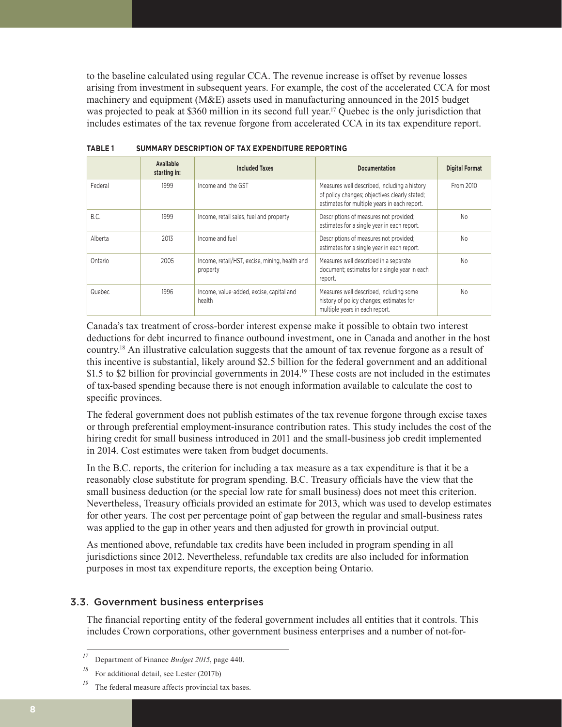to the baseline calculated using regular CCA. The revenue increase is offset by revenue losses arising from investment in subsequent years. For example, the cost of the accelerated CCA for most machinery and equipment (M&E) assets used in manufacturing announced in the 2015 budget was projected to peak at \$360 million in its second full year.<sup>17</sup> Quebec is the only jurisdiction that includes estimates of the tax revenue forgone from accelerated CCA in its tax expenditure report.

|         | Available<br>starting in: | <b>Included Taxes</b>                                      | <b>Documentation</b>                                                                                                                          | <b>Digital Format</b> |
|---------|---------------------------|------------------------------------------------------------|-----------------------------------------------------------------------------------------------------------------------------------------------|-----------------------|
| Federal | 1999                      | Income and the GST                                         | Measures well described, including a history<br>of policy changes; objectives clearly stated;<br>estimates for multiple years in each report. | From 2010             |
| B.C.    | 1999                      | Income, retail sales, fuel and property                    | Descriptions of measures not provided;<br>estimates for a single year in each report.                                                         | No                    |
| Alberta | 2013                      | Income and fuel                                            | Descriptions of measures not provided;<br>estimates for a single year in each report.                                                         | N <sub>o</sub>        |
| Ontario | 2005                      | Income, retail/HST, excise, mining, health and<br>property | Measures well described in a separate<br>document; estimates for a single year in each<br>report.                                             | N <sub>o</sub>        |
| Quebec  | 1996                      | Income, value-added, excise, capital and<br>health         | Measures well described, including some<br>history of policy changes; estimates for<br>multiple years in each report.                         | <b>No</b>             |

**TABLE 1 SUMMARY DESCRIPTION OF TAX EXPENDITURE REPORTING**

Canada's tax treatment of cross-border interest expense make it possible to obtain two interest deductions for debt incurred to finance outbound investment, one in Canada and another in the host country.18 An illustrative calculation suggests that the amount of tax revenue forgone as a result of this incentive is substantial, likely around \$2.5 billion for the federal government and an additional \$1.5 to \$2 billion for provincial governments in 2014.<sup>19</sup> These costs are not included in the estimates of tax-based spending because there is not enough information available to calculate the cost to specific provinces.

The federal government does not publish estimates of the tax revenue forgone through excise taxes or through preferential employment-insurance contribution rates. This study includes the cost of the hiring credit for small business introduced in 2011 and the small-business job credit implemented in 2014. Cost estimates were taken from budget documents.

In the B.C. reports, the criterion for including a tax measure as a tax expenditure is that it be a reasonably close substitute for program spending. B.C. Treasury officials have the view that the small business deduction (or the special low rate for small business) does not meet this criterion. Nevertheless, Treasury officials provided an estimate for 2013, which was used to develop estimates for other years. The cost per percentage point of gap between the regular and small-business rates was applied to the gap in other years and then adjusted for growth in provincial output.

As mentioned above, refundable tax credits have been included in program spending in all jurisdictions since 2012. Nevertheless, refundable tax credits are also included for information purposes in most tax expenditure reports, the exception being Ontario.

## 3.3. Government business enterprises

The financial reporting entity of the federal government includes all entities that it controls. This includes Crown corporations, other government business enterprises and a number of not-for-

The federal measure affects provincial tax bases.

*<sup>17</sup>* Department of Finance *Budget 2015*, page 440.

*<sup>18</sup>* For additional detail, see Lester (2017b)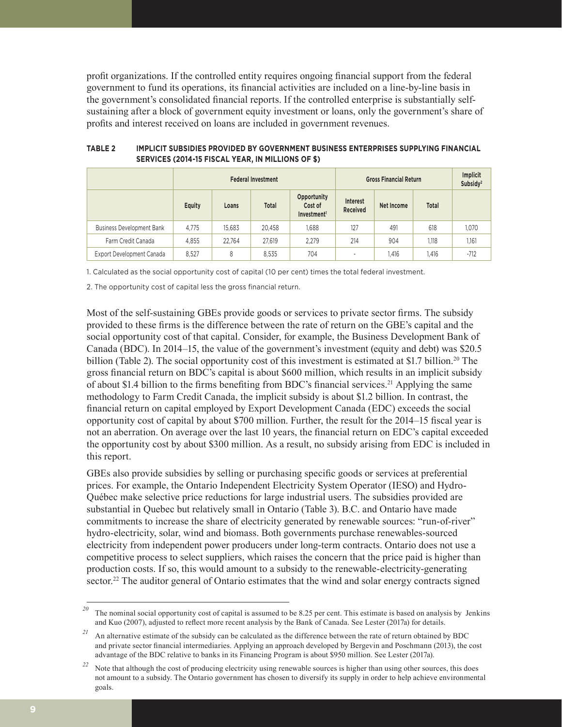profit organizations. If the controlled entity requires ongoing financial support from the federal government to fund its operations, its financial activities are included on a line-by-line basis in the government's consolidated financial reports. If the controlled enterprise is substantially selfsustaining after a block of government equity investment or loans, only the government's share of profits and interest received on loans are included in government revenues.

|                                  | <b>Federal Investment</b> |        |              | <b>Gross Financial Return</b>                     |                          |            | Implicit<br>Subsidy <sup>2</sup> |        |
|----------------------------------|---------------------------|--------|--------------|---------------------------------------------------|--------------------------|------------|----------------------------------|--------|
|                                  | Equity                    | Loans  | <b>Total</b> | Opportunity<br>Cost of<br>Investment <sup>1</sup> | Interest<br>Received     | Net Income | <b>Total</b>                     |        |
| <b>Business Development Bank</b> | 4.775                     | 15.683 | 20,458       | 1.688                                             | 127                      | 491        | 618                              | 1,070  |
| Farm Credit Canada               | 4.855                     | 22.764 | 27.619       | 2.279                                             | 214                      | 904        | 1,118                            | 1,161  |
| Export Development Canada        | 8.527                     | 8      | 8.535        | 704                                               | $\overline{\phantom{a}}$ | 1.416      | 1.416                            | $-712$ |

**TABLE 2 IMPLICIT SUBSIDIES PROVIDED BY GOVERNMENT BUSINESS ENTERPRISES SUPPLYING FINANCIAL SERVICES (2014-15 FISCAL YEAR, IN MILLIONS OF \$)**

1. Calculated as the social opportunity cost of capital (10 per cent) times the total federal investment.

2. The opportunity cost of capital less the gross financial return.

Most of the self-sustaining GBEs provide goods or services to private sector firms. The subsidy provided to these firms is the difference between the rate of return on the GBE's capital and the social opportunity cost of that capital. Consider, for example, the Business Development Bank of Canada (BDC). In 2014–15, the value of the government's investment (equity and debt) was \$20.5 billion (Table 2). The social opportunity cost of this investment is estimated at \$1.7 billion.<sup>20</sup> The gross financial return on BDC's capital is about \$600 million, which results in an implicit subsidy of about \$1.4 billion to the firms benefiting from BDC's financial services.21 Applying the same methodology to Farm Credit Canada, the implicit subsidy is about \$1.2 billion. In contrast, the financial return on capital employed by Export Development Canada (EDC) exceeds the social opportunity cost of capital by about \$700 million. Further, the result for the 2014–15 fiscal year is not an aberration. On average over the last 10 years, the financial return on EDC's capital exceeded the opportunity cost by about \$300 million. As a result, no subsidy arising from EDC is included in this report.

GBEs also provide subsidies by selling or purchasing specific goods or services at preferential prices. For example, the Ontario Independent Electricity System Operator (IESO) and Hydro-Québec make selective price reductions for large industrial users. The subsidies provided are substantial in Quebec but relatively small in Ontario (Table 3). B.C. and Ontario have made commitments to increase the share of electricity generated by renewable sources: "run-of-river" hydro-electricity, solar, wind and biomass. Both governments purchase renewables-sourced electricity from independent power producers under long-term contracts. Ontario does not use a competitive process to select suppliers, which raises the concern that the price paid is higher than production costs. If so, this would amount to a subsidy to the renewable-electricity-generating sector.<sup>22</sup> The auditor general of Ontario estimates that the wind and solar energy contracts signed

*<sup>20</sup>* The nominal social opportunity cost of capital is assumed to be 8.25 per cent. This estimate is based on analysis by Jenkins and Kuo (2007), adjusted to reflect more recent analysis by the Bank of Canada. See Lester (2017a) for details.

*<sup>21</sup>* An alternative estimate of the subsidy can be calculated as the difference between the rate of return obtained by BDC and private sector financial intermediaries. Applying an approach developed by Bergevin and Poschmann (2013), the cost advantage of the BDC relative to banks in its Financing Program is about \$950 million. See Lester (2017a).

<sup>&</sup>lt;sup>22</sup> Note that although the cost of producing electricity using renewable sources is higher than using other sources, this does not amount to a subsidy. The Ontario government has chosen to diversify its supply in order to help achieve environmental goals.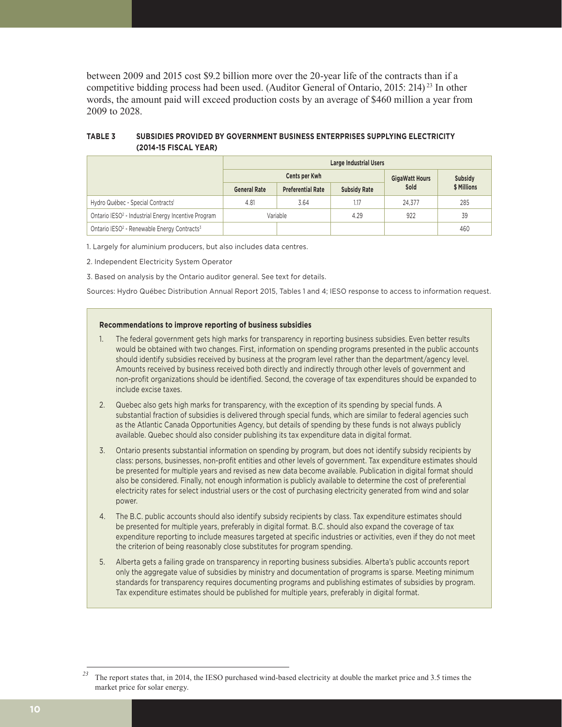between 2009 and 2015 cost \$9.2 billion more over the 20-year life of the contracts than if a competitive bidding process had been used. (Auditor General of Ontario, 2015: 214) <sup>23</sup> In other words, the amount paid will exceed production costs by an average of \$460 million a year from 2009 to 2028.

#### **TABLE 3 SUBSIDIES PROVIDED BY GOVERNMENT BUSINESS ENTERPRISES SUPPLYING ELECTRICITY (2014-15 FISCAL YEAR)**

|                                                                     | <b>Large Industrial Users</b> |                          |                     |        |             |  |  |
|---------------------------------------------------------------------|-------------------------------|--------------------------|---------------------|--------|-------------|--|--|
|                                                                     |                               | Subsidy                  |                     |        |             |  |  |
|                                                                     | <b>General Rate</b>           | <b>Preferential Rate</b> | <b>Subsidy Rate</b> | Sold   | \$ Millions |  |  |
| Hydro Québec - Special Contracts <sup>1</sup>                       | 4.81                          | 3.64                     | 1.17                | 24.377 | 285         |  |  |
| Ontario IESO <sup>2</sup> - Industrial Energy Incentive Program     |                               | Variable                 | 4.29                | 922    | 39          |  |  |
| Ontario IESO <sup>2</sup> - Renewable Energy Contracts <sup>3</sup> |                               |                          |                     |        | 460         |  |  |

1. Largely for aluminium producers, but also includes data centres.

2. Independent Electricity System Operator

3. Based on analysis by the Ontario auditor general. See text for details.

Sources: Hydro Québec Distribution Annual Report 2015, Tables 1 and 4; IESO response to access to information request.

#### **Recommendations to improve reporting of business subsidies**

- 1. The federal government gets high marks for transparency in reporting business subsidies. Even better results would be obtained with two changes. First, information on spending programs presented in the public accounts should identify subsidies received by business at the program level rather than the department/agency level. Amounts received by business received both directly and indirectly through other levels of government and non-profit organizations should be identified. Second, the coverage of tax expenditures should be expanded to include excise taxes.
- 2. Quebec also gets high marks for transparency, with the exception of its spending by special funds. A substantial fraction of subsidies is delivered through special funds, which are similar to federal agencies such as the Atlantic Canada Opportunities Agency, but details of spending by these funds is not always publicly available. Quebec should also consider publishing its tax expenditure data in digital format.
- 3. Ontario presents substantial information on spending by program, but does not identify subsidy recipients by class: persons, businesses, non-profit entities and other levels of government. Tax expenditure estimates should be presented for multiple years and revised as new data become available. Publication in digital format should also be considered. Finally, not enough information is publicly available to determine the cost of preferential electricity rates for select industrial users or the cost of purchasing electricity generated from wind and solar power.
- 4. The B.C. public accounts should also identify subsidy recipients by class. Tax expenditure estimates should be presented for multiple years, preferably in digital format. B.C. should also expand the coverage of tax expenditure reporting to include measures targeted at specific industries or activities, even if they do not meet the criterion of being reasonably close substitutes for program spending.
- 5. Alberta gets a failing grade on transparency in reporting business subsidies. Alberta's public accounts report only the aggregate value of subsidies by ministry and documentation of programs is sparse. Meeting minimum standards for transparency requires documenting programs and publishing estimates of subsidies by program. Tax expenditure estimates should be published for multiple years, preferably in digital format.

<sup>&</sup>lt;sup>23</sup> The report states that, in 2014, the IESO purchased wind-based electricity at double the market price and 3.5 times the market price for solar energy.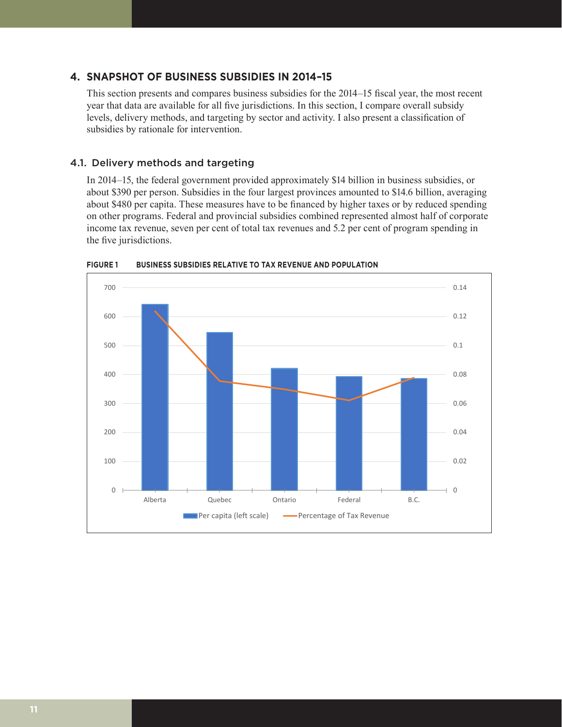## **4. SNAPSHOT OF BUSINESS SUBSIDIES IN 2014–15**

This section presents and compares business subsidies for the 2014–15 fiscal year, the most recent year that data are available for all five jurisdictions. In this section, I compare overall subsidy levels, delivery methods, and targeting by sector and activity. I also present a classification of subsidies by rationale for intervention.

#### 4.1. Delivery methods and targeting

In 2014–15, the federal government provided approximately \$14 billion in business subsidies, or about \$390 per person. Subsidies in the four largest provinces amounted to \$14.6 billion, averaging about \$480 per capita. These measures have to be financed by higher taxes or by reduced spending on other programs. Federal and provincial subsidies combined represented almost half of corporate income tax revenue, seven per cent of total tax revenues and 5.2 per cent of program spending in the five jurisdictions.



**FIGURE 1 BUSINESS SUBSIDIES RELATIVE TO TAX REVENUE AND POPULATION**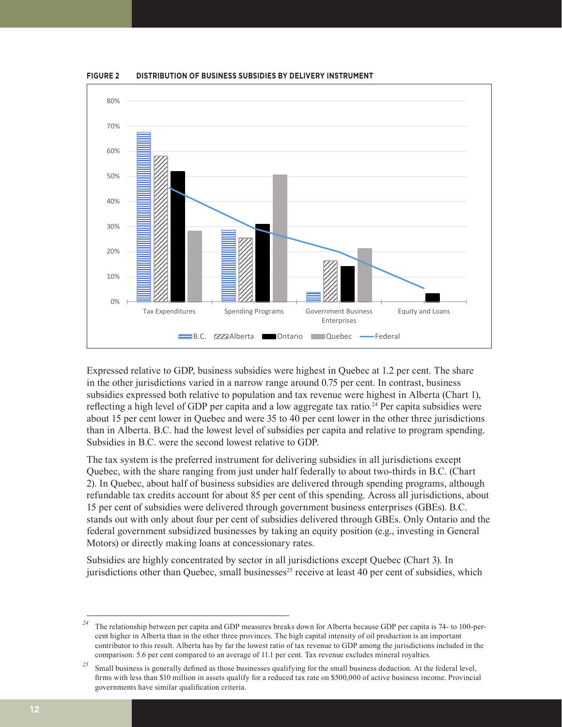

**FIGURE 2 DISTRIBUTION OF BUSINESS SUBSIDIES BY DELIVERY INSTRUMENT**

Expressed relative to GDP, business subsidies were highest in Quebec at 1.2 per cent. The share in the other jurisdictions varied in a narrow range around 0.75 per cent. In contrast, business subsidies expressed both relative to population and tax revenue were highest in Alberta (Chart 1), reflecting a high level of GDP per capita and a low aggregate tax ratio.<sup>24</sup> Per capita subsidies were about 15 per cent lower in Quebec and were 35 to 40 per cent lower in the other three jurisdictions than in Alberta. B.C. had the lowest level of subsidies per capita and relative to program spending. Subsidies in B.C. were the second lowest relative to GDP.

The tax system is the preferred instrument for delivering subsidies in all jurisdictions except Quebec, with the share ranging from just under half federally to about two-thirds in B.C. (Chart 2). In Quebec, about half of business subsidies are delivered through spending programs, although refundable tax credits account for about 85 per cent of this spending. Across all jurisdictions, about 15 per cent of subsidies were delivered through government business enterprises (GBEs). B.C. stands out with only about four per cent of subsidies delivered through GBEs. Only Ontario and the federal government subsidized businesses by taking an equity position (e.g., investing in General Motors) or directly making loans at concessionary rates.

Subsidies are highly concentrated by sector in all jurisdictions except Quebec (Chart 3). In jurisdictions other than Quebec, small businesses<sup>25</sup> receive at least 40 per cent of subsidies, which

*<sup>24</sup>* The relationship between per capita and GDP measures breaks down for Alberta because GDP per capita is 74- to 100-percent higher in Alberta than in the other three provinces. The high capital intensity of oil production is an important contributor to this result. Alberta has by far the lowest ratio of tax revenue to GDP among the jurisdictions included in the comparison: 5.6 per cent compared to an average of 11.1 per cent. Tax revenue excludes mineral royalties.

<sup>&</sup>lt;sup>25</sup> Small business is generally defined as those businesses qualifying for the small business deduction. At the federal level, firms with less than \$10 million in assets qualify for a reduced tax rate on \$500,000 of active business income. Provincial governments have similar qualification criteria.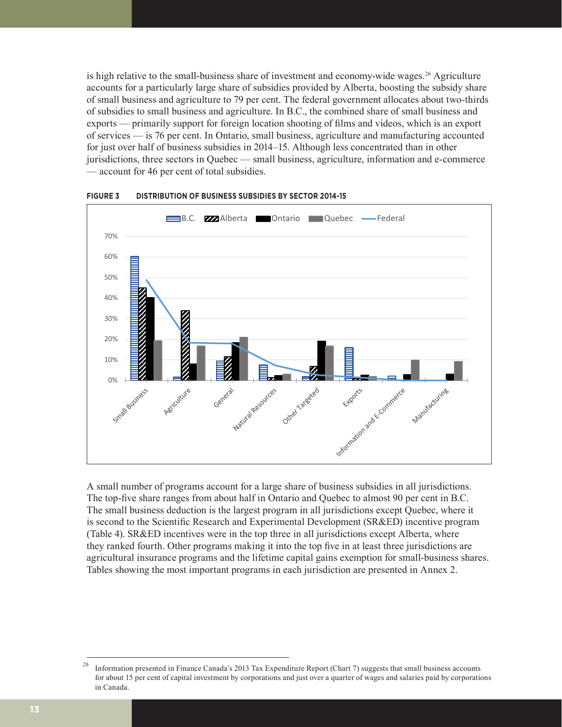is high relative to the small-business share of investment and economy-wide wages.<sup>26</sup> Agriculture accounts for a particularly large share of subsidies provided by Alberta, boosting the subsidy share of small business and agriculture to 79 per cent. The federal government allocates about two-thirds of subsidies to small business and agriculture. In B.C., the combined share of small business and exports — primarily support for foreign location shooting of films and videos, which is an export of services — is 76 per cent. In Ontario, small business, agriculture and manufacturing accounted for just over half of business subsidies in 2014–15. Although less concentrated than in other jurisdictions, three sectors in Quebec — small business, agriculture, information and e-commerce — account for 46 per cent of total subsidies.



**FIGURE 3 DISTRIBUTION OF BUSINESS SUBSIDIES BY SECTOR 2014-15**

A small number of programs account for a large share of business subsidies in all jurisdictions. The top-five share ranges from about half in Ontario and Quebec to almost 90 per cent in B.C. The small business deduction is the largest program in all jurisdictions except Quebec, where it is second to the Scientific Research and Experimental Development (SR&ED) incentive program (Table 4). SR&ED incentives were in the top three in all jurisdictions except Alberta, where they ranked fourth. Other programs making it into the top five in at least three jurisdictions are agricultural insurance programs and the lifetime capital gains exemption for small-business shares. Tables showing the most important programs in each jurisdiction are presented in Annex 2.

<sup>&</sup>lt;sup>26</sup> Information presented in Finance Canada's 2013 Tax Expenditure Report (Chart 7) suggests that small business accounts for about 15 per cent of capital investment by corporations and just over a quarter of wages and salaries paid by corporations in Canada.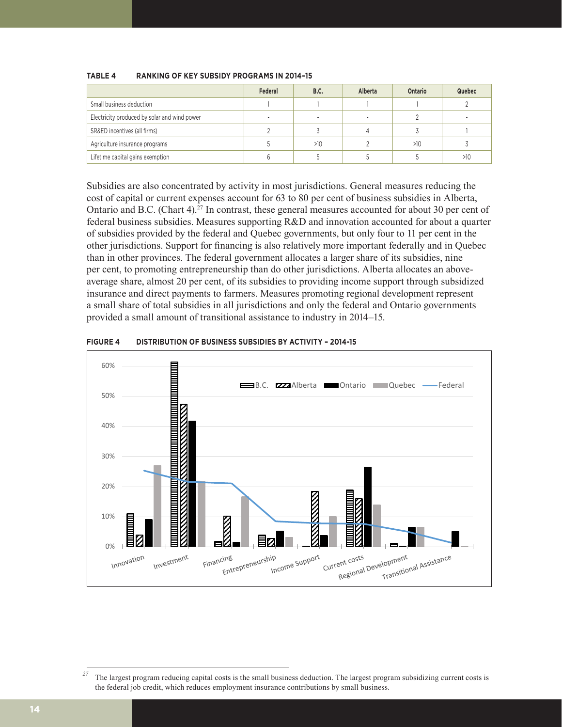|                                              | Federal | <b>B.C.</b> | Alberta | Ontario | Quebec |
|----------------------------------------------|---------|-------------|---------|---------|--------|
| Small business deduction                     |         |             |         |         |        |
| Electricity produced by solar and wind power |         |             |         |         |        |
| SR&ED incentives (all firms)                 |         |             |         |         |        |
| Agriculture insurance programs               |         | >10         |         | >10     |        |
| Lifetime capital gains exemption             |         |             |         |         | >10    |

#### **TABLE 4 RANKING OF KEY SUBSIDY PROGRAMS IN 2014–15**

Subsidies are also concentrated by activity in most jurisdictions. General measures reducing the cost of capital or current expenses account for 63 to 80 per cent of business subsidies in Alberta, Ontario and B.C. (Chart 4).27 In contrast, these general measures accounted for about 30 per cent of federal business subsidies. Measures supporting R&D and innovation accounted for about a quarter of subsidies provided by the federal and Quebec governments, but only four to 11 per cent in the other jurisdictions. Support for financing is also relatively more important federally and in Quebec than in other provinces. The federal government allocates a larger share of its subsidies, nine per cent, to promoting entrepreneurship than do other jurisdictions. Alberta allocates an aboveaverage share, almost 20 per cent, of its subsidies to providing income support through subsidized insurance and direct payments to farmers. Measures promoting regional development represent a small share of total subsidies in all jurisdictions and only the federal and Ontario governments provided a small amount of transitional assistance to industry in 2014–15.



#### **FIGURE 4 DISTRIBUTION OF BUSINESS SUBSIDIES BY ACTIVITY – 2014-15 FIGURE 4**

<sup>&</sup>lt;sup>27</sup> The largest program reducing capital costs is the small business deduction. The largest program subsidizing current costs is the federal job credit, which reduces employment insurance contributions by small business.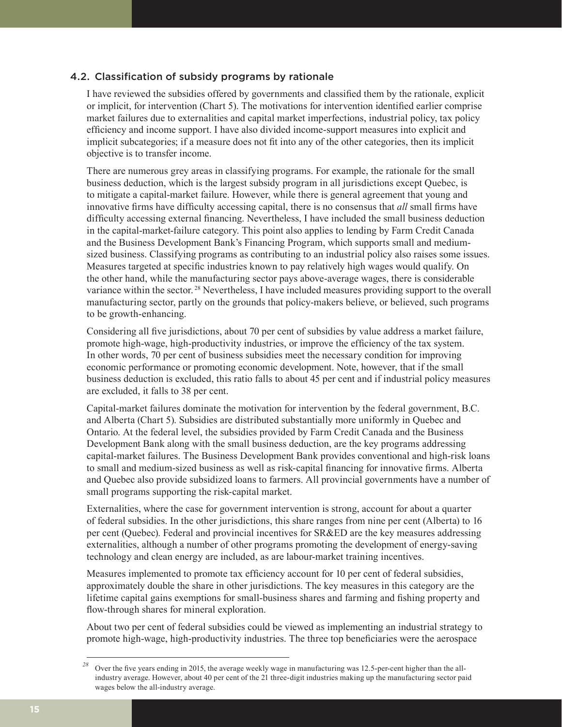## 4.2. Classification of subsidy programs by rationale

I have reviewed the subsidies offered by governments and classified them by the rationale, explicit or implicit, for intervention (Chart 5). The motivations for intervention identified earlier comprise market failures due to externalities and capital market imperfections, industrial policy, tax policy efficiency and income support. I have also divided income-support measures into explicit and implicit subcategories; if a measure does not fit into any of the other categories, then its implicit objective is to transfer income.

There are numerous grey areas in classifying programs. For example, the rationale for the small business deduction, which is the largest subsidy program in all jurisdictions except Quebec, is to mitigate a capital-market failure. However, while there is general agreement that young and innovative firms have difficulty accessing capital, there is no consensus that *all* small firms have difficulty accessing external financing. Nevertheless, I have included the small business deduction in the capital-market-failure category. This point also applies to lending by Farm Credit Canada and the Business Development Bank's Financing Program, which supports small and mediumsized business. Classifying programs as contributing to an industrial policy also raises some issues. Measures targeted at specific industries known to pay relatively high wages would qualify. On the other hand, while the manufacturing sector pays above-average wages, there is considerable variance within the sector. 28 Nevertheless, I have included measures providing support to the overall manufacturing sector, partly on the grounds that policy-makers believe, or believed, such programs to be growth-enhancing.

Considering all five jurisdictions, about 70 per cent of subsidies by value address a market failure, promote high-wage, high-productivity industries, or improve the efficiency of the tax system. In other words, 70 per cent of business subsidies meet the necessary condition for improving economic performance or promoting economic development. Note, however, that if the small business deduction is excluded, this ratio falls to about 45 per cent and if industrial policy measures are excluded, it falls to 38 per cent.

Capital-market failures dominate the motivation for intervention by the federal government, B.C. and Alberta (Chart 5). Subsidies are distributed substantially more uniformly in Quebec and Ontario. At the federal level, the subsidies provided by Farm Credit Canada and the Business Development Bank along with the small business deduction, are the key programs addressing capital-market failures. The Business Development Bank provides conventional and high-risk loans to small and medium-sized business as well as risk-capital financing for innovative firms. Alberta and Quebec also provide subsidized loans to farmers. All provincial governments have a number of small programs supporting the risk-capital market.

Externalities, where the case for government intervention is strong, account for about a quarter of federal subsidies. In the other jurisdictions, this share ranges from nine per cent (Alberta) to 16 per cent (Quebec). Federal and provincial incentives for SR&ED are the key measures addressing externalities, although a number of other programs promoting the development of energy-saving technology and clean energy are included, as are labour-market training incentives.

Measures implemented to promote tax efficiency account for 10 per cent of federal subsidies, approximately double the share in other jurisdictions. The key measures in this category are the lifetime capital gains exemptions for small-business shares and farming and fishing property and flow-through shares for mineral exploration.

About two per cent of federal subsidies could be viewed as implementing an industrial strategy to promote high-wage, high-productivity industries. The three top beneficiaries were the aerospace

<sup>&</sup>lt;sup>28</sup> Over the five years ending in 2015, the average weekly wage in manufacturing was 12.5-per-cent higher than the allindustry average. However, about 40 per cent of the 21 three-digit industries making up the manufacturing sector paid wages below the all-industry average.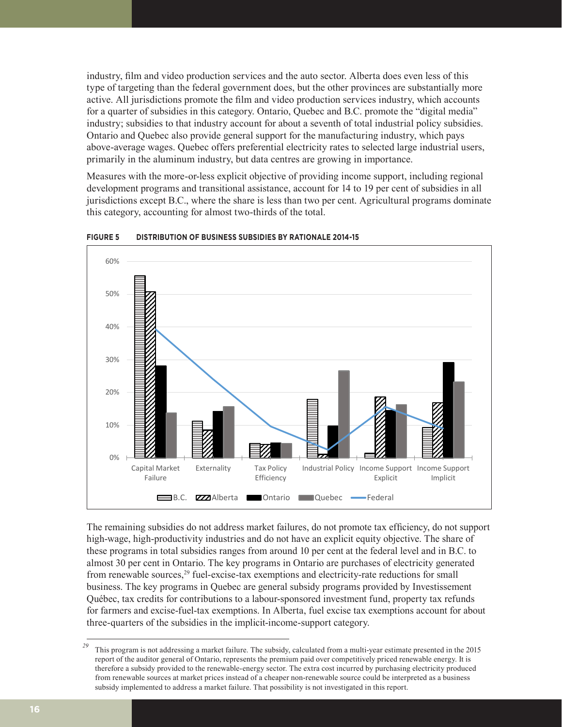industry, film and video production services and the auto sector. Alberta does even less of this type of targeting than the federal government does, but the other provinces are substantially more active. All jurisdictions promote the film and video production services industry, which accounts for a quarter of subsidies in this category. Ontario, Quebec and B.C. promote the "digital media" industry; subsidies to that industry account for about a seventh of total industrial policy subsidies. Ontario and Quebec also provide general support for the manufacturing industry, which pays above-average wages. Quebec offers preferential electricity rates to selected large industrial users, primarily in the aluminum industry, but data centres are growing in importance.

Measures with the more-or-less explicit objective of providing income support, including regional development programs and transitional assistance, account for 14 to 19 per cent of subsidies in all jurisdictions except B.C., where the share is less than two per cent. Agricultural programs dominate this category, accounting for almost two-thirds of the total.



**FIGURE 5 DISTRIBUTION OF BUSINESS SUBSIDIES BY RATIONALE 2014-15**

The remaining subsidies do not address market failures, do not promote tax efficiency, do not support high-wage, high-productivity industries and do not have an explicit equity objective. The share of these programs in total subsidies ranges from around 10 per cent at the federal level and in B.C. to almost 30 per cent in Ontario. The key programs in Ontario are purchases of electricity generated from renewable sources,29 fuel-excise-tax exemptions and electricity-rate reductions for small business. The key programs in Quebec are general subsidy programs provided by Investissement Québec, tax credits for contributions to a labour-sponsored investment fund, property tax refunds for farmers and excise-fuel-tax exemptions. In Alberta, fuel excise tax exemptions account for about three-quarters of the subsidies in the implicit-income-support category.

<sup>&</sup>lt;sup>29</sup> This program is not addressing a market failure. The subsidy, calculated from a multi-year estimate presented in the 2015 report of the auditor general of Ontario, represents the premium paid over competitively priced renewable energy. It is therefore a subsidy provided to the renewable-energy sector. The extra cost incurred by purchasing electricity produced from renewable sources at market prices instead of a cheaper non-renewable source could be interpreted as a business subsidy implemented to address a market failure. That possibility is not investigated in this report.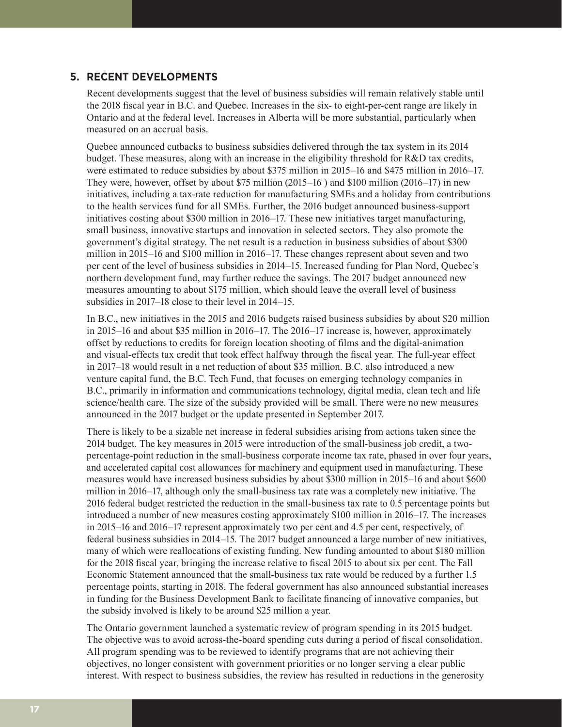## **5. RECENT DEVELOPMENTS**

Recent developments suggest that the level of business subsidies will remain relatively stable until the 2018 fiscal year in B.C. and Quebec. Increases in the six- to eight-per-cent range are likely in Ontario and at the federal level. Increases in Alberta will be more substantial, particularly when measured on an accrual basis.

Quebec announced cutbacks to business subsidies delivered through the tax system in its 2014 budget. These measures, along with an increase in the eligibility threshold for R&D tax credits, were estimated to reduce subsidies by about \$375 million in 2015–16 and \$475 million in 2016–17. They were, however, offset by about \$75 million (2015–16 ) and \$100 million (2016–17) in new initiatives, including a tax-rate reduction for manufacturing SMEs and a holiday from contributions to the health services fund for all SMEs. Further, the 2016 budget announced business-support initiatives costing about \$300 million in 2016–17. These new initiatives target manufacturing, small business, innovative startups and innovation in selected sectors. They also promote the government's digital strategy. The net result is a reduction in business subsidies of about \$300 million in 2015–16 and \$100 million in 2016–17. These changes represent about seven and two per cent of the level of business subsidies in 2014–15. Increased funding for Plan Nord, Quebec's northern development fund, may further reduce the savings. The 2017 budget announced new measures amounting to about \$175 million, which should leave the overall level of business subsidies in 2017–18 close to their level in 2014–15.

In B.C., new initiatives in the 2015 and 2016 budgets raised business subsidies by about \$20 million in 2015–16 and about \$35 million in 2016–17. The 2016–17 increase is, however, approximately offset by reductions to credits for foreign location shooting of films and the digital-animation and visual-effects tax credit that took effect halfway through the fiscal year. The full-year effect in 2017–18 would result in a net reduction of about \$35 million. B.C. also introduced a new venture capital fund, the B.C. Tech Fund, that focuses on emerging technology companies in B.C., primarily in information and communications technology, digital media, clean tech and life science/health care. The size of the subsidy provided will be small. There were no new measures announced in the 2017 budget or the update presented in September 2017.

There is likely to be a sizable net increase in federal subsidies arising from actions taken since the 2014 budget. The key measures in 2015 were introduction of the small-business job credit, a twopercentage-point reduction in the small-business corporate income tax rate, phased in over four years, and accelerated capital cost allowances for machinery and equipment used in manufacturing. These measures would have increased business subsidies by about \$300 million in 2015–16 and about \$600 million in 2016–17, although only the small-business tax rate was a completely new initiative. The 2016 federal budget restricted the reduction in the small-business tax rate to 0.5 percentage points but introduced a number of new measures costing approximately \$100 million in 2016–17. The increases in 2015–16 and 2016–17 represent approximately two per cent and 4.5 per cent, respectively, of federal business subsidies in 2014–15. The 2017 budget announced a large number of new initiatives, many of which were reallocations of existing funding. New funding amounted to about \$180 million for the 2018 fiscal year, bringing the increase relative to fiscal 2015 to about six per cent. The Fall Economic Statement announced that the small-business tax rate would be reduced by a further 1.5 percentage points, starting in 2018. The federal government has also announced substantial increases in funding for the Business Development Bank to facilitate financing of innovative companies, but the subsidy involved is likely to be around \$25 million a year.

The Ontario government launched a systematic review of program spending in its 2015 budget. The objective was to avoid across-the-board spending cuts during a period of fiscal consolidation. All program spending was to be reviewed to identify programs that are not achieving their objectives, no longer consistent with government priorities or no longer serving a clear public interest. With respect to business subsidies, the review has resulted in reductions in the generosity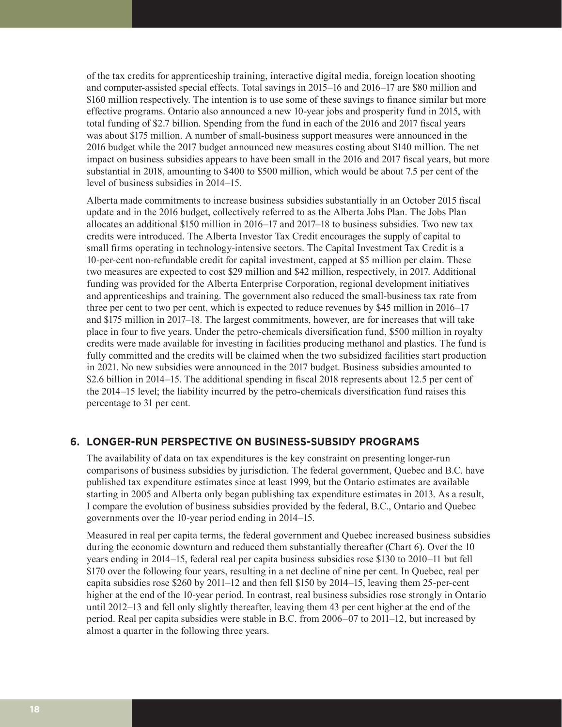of the tax credits for apprenticeship training, interactive digital media, foreign location shooting and computer-assisted special effects. Total savings in 2015–16 and 2016–17 are \$80 million and \$160 million respectively. The intention is to use some of these savings to finance similar but more effective programs. Ontario also announced a new 10-year jobs and prosperity fund in 2015, with total funding of \$2.7 billion. Spending from the fund in each of the 2016 and 2017 fiscal years was about \$175 million. A number of small-business support measures were announced in the 2016 budget while the 2017 budget announced new measures costing about \$140 million. The net impact on business subsidies appears to have been small in the 2016 and 2017 fiscal years, but more substantial in 2018, amounting to \$400 to \$500 million, which would be about 7.5 per cent of the level of business subsidies in 2014–15.

Alberta made commitments to increase business subsidies substantially in an October 2015 fiscal update and in the 2016 budget, collectively referred to as the Alberta Jobs Plan. The Jobs Plan allocates an additional \$150 million in 2016–17 and 2017–18 to business subsidies. Two new tax credits were introduced. The Alberta Investor Tax Credit encourages the supply of capital to small firms operating in technology-intensive sectors. The Capital Investment Tax Credit is a 10-per-cent non-refundable credit for capital investment, capped at \$5 million per claim. These two measures are expected to cost \$29 million and \$42 million, respectively, in 2017. Additional funding was provided for the Alberta Enterprise Corporation, regional development initiatives and apprenticeships and training. The government also reduced the small-business tax rate from three per cent to two per cent, which is expected to reduce revenues by \$45 million in 2016–17 and \$175 million in 2017–18. The largest commitments, however, are for increases that will take place in four to five years. Under the petro-chemicals diversification fund, \$500 million in royalty credits were made available for investing in facilities producing methanol and plastics. The fund is fully committed and the credits will be claimed when the two subsidized facilities start production in 2021. No new subsidies were announced in the 2017 budget. Business subsidies amounted to \$2.6 billion in 2014–15. The additional spending in fiscal 2018 represents about 12.5 per cent of the 2014–15 level; the liability incurred by the petro-chemicals diversification fund raises this percentage to 31 per cent.

## **6. LONGER-RUN PERSPECTIVE ON BUSINESS-SUBSIDY PROGRAMS**

The availability of data on tax expenditures is the key constraint on presenting longer-run comparisons of business subsidies by jurisdiction. The federal government, Quebec and B.C. have published tax expenditure estimates since at least 1999, but the Ontario estimates are available starting in 2005 and Alberta only began publishing tax expenditure estimates in 2013. As a result, I compare the evolution of business subsidies provided by the federal, B.C., Ontario and Quebec governments over the 10-year period ending in 2014–15.

Measured in real per capita terms, the federal government and Quebec increased business subsidies during the economic downturn and reduced them substantially thereafter (Chart 6). Over the 10 years ending in 2014–15, federal real per capita business subsidies rose \$130 to 2010–11 but fell \$170 over the following four years, resulting in a net decline of nine per cent. In Quebec, real per capita subsidies rose \$260 by 2011–12 and then fell \$150 by 2014–15, leaving them 25-per-cent higher at the end of the 10-year period. In contrast, real business subsidies rose strongly in Ontario until 2012–13 and fell only slightly thereafter, leaving them 43 per cent higher at the end of the period. Real per capita subsidies were stable in B.C. from 2006–07 to 2011–12, but increased by almost a quarter in the following three years.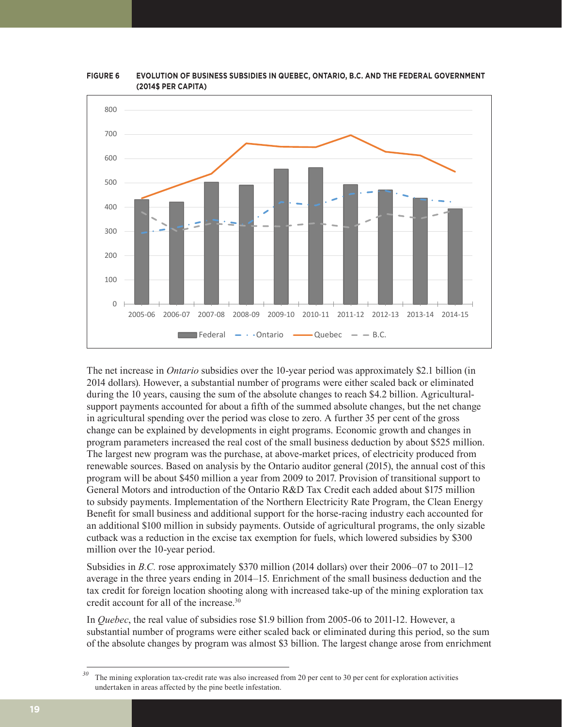

**FIGURE 6 EVOLUTION OF BUSINESS SUBSIDIES IN QUEBEC, ONTARIO, B.C. AND THE FEDERAL GOVERNMENT (2014\$ PER CAPITA)**

The net increase in *Ontario* subsidies over the 10-year period was approximately \$2.1 billion (in 2014 dollars). However, a substantial number of programs were either scaled back or eliminated during the 10 years, causing the sum of the absolute changes to reach \$4.2 billion. Agriculturalsupport payments accounted for about a fifth of the summed absolute changes, but the net change in agricultural spending over the period was close to zero. A further 35 per cent of the gross change can be explained by developments in eight programs. Economic growth and changes in program parameters increased the real cost of the small business deduction by about \$525 million. The largest new program was the purchase, at above-market prices, of electricity produced from renewable sources. Based on analysis by the Ontario auditor general (2015), the annual cost of this program will be about \$450 million a year from 2009 to 2017. Provision of transitional support to General Motors and introduction of the Ontario R&D Tax Credit each added about \$175 million to subsidy payments. Implementation of the Northern Electricity Rate Program, the Clean Energy Benefit for small business and additional support for the horse-racing industry each accounted for an additional \$100 million in subsidy payments. Outside of agricultural programs, the only sizable cutback was a reduction in the excise tax exemption for fuels, which lowered subsidies by \$300 million over the 10-year period.

Subsidies in *B.C.* rose approximately \$370 million (2014 dollars) over their 2006–07 to 2011–12 average in the three years ending in 2014–15. Enrichment of the small business deduction and the tax credit for foreign location shooting along with increased take-up of the mining exploration tax credit account for all of the increase.<sup>30</sup>

In *Quebec*, the real value of subsidies rose \$1.9 billion from 2005-06 to 2011-12. However, a substantial number of programs were either scaled back or eliminated during this period, so the sum of the absolute changes by program was almost \$3 billion. The largest change arose from enrichment

*<sup>30</sup>* The mining exploration tax-credit rate was also increased from 20 per cent to 30 per cent for exploration activities undertaken in areas affected by the pine beetle infestation.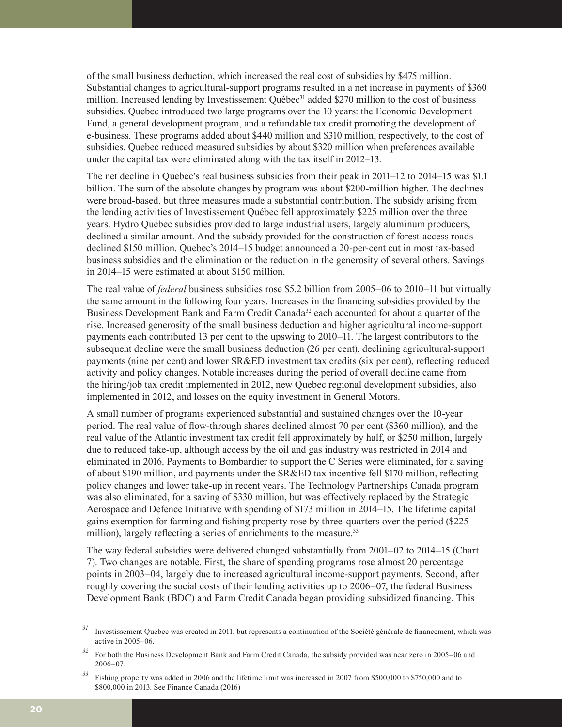of the small business deduction, which increased the real cost of subsidies by \$475 million. Substantial changes to agricultural-support programs resulted in a net increase in payments of \$360 million. Increased lending by Investissement Ouébec<sup>31</sup> added \$270 million to the cost of business subsidies. Quebec introduced two large programs over the 10 years: the Economic Development Fund, a general development program, and a refundable tax credit promoting the development of e-business. These programs added about \$440 million and \$310 million, respectively, to the cost of subsidies. Quebec reduced measured subsidies by about \$320 million when preferences available under the capital tax were eliminated along with the tax itself in 2012–13.

The net decline in Quebec's real business subsidies from their peak in 2011–12 to 2014–15 was \$1.1 billion. The sum of the absolute changes by program was about \$200-million higher. The declines were broad-based, but three measures made a substantial contribution. The subsidy arising from the lending activities of Investissement Québec fell approximately \$225 million over the three years. Hydro Québec subsidies provided to large industrial users, largely aluminum producers, declined a similar amount. And the subsidy provided for the construction of forest-access roads declined \$150 million. Quebec's 2014–15 budget announced a 20-per-cent cut in most tax-based business subsidies and the elimination or the reduction in the generosity of several others. Savings in 2014–15 were estimated at about \$150 million.

The real value of *federal* business subsidies rose \$5.2 billion from 2005–06 to 2010–11 but virtually the same amount in the following four years. Increases in the financing subsidies provided by the Business Development Bank and Farm Credit Canada<sup>32</sup> each accounted for about a quarter of the rise. Increased generosity of the small business deduction and higher agricultural income-support payments each contributed 13 per cent to the upswing to 2010–11. The largest contributors to the subsequent decline were the small business deduction (26 per cent), declining agricultural-support payments (nine per cent) and lower SR&ED investment tax credits (six per cent), reflecting reduced activity and policy changes. Notable increases during the period of overall decline came from the hiring/job tax credit implemented in 2012, new Quebec regional development subsidies, also implemented in 2012, and losses on the equity investment in General Motors.

A small number of programs experienced substantial and sustained changes over the 10-year period. The real value of flow-through shares declined almost 70 per cent (\$360 million), and the real value of the Atlantic investment tax credit fell approximately by half, or \$250 million, largely due to reduced take-up, although access by the oil and gas industry was restricted in 2014 and eliminated in 2016. Payments to Bombardier to support the C Series were eliminated, for a saving of about \$190 million, and payments under the SR&ED tax incentive fell \$170 million, reflecting policy changes and lower take-up in recent years. The Technology Partnerships Canada program was also eliminated, for a saving of \$330 million, but was effectively replaced by the Strategic Aerospace and Defence Initiative with spending of \$173 million in 2014–15. The lifetime capital gains exemption for farming and fishing property rose by three-quarters over the period (\$225 million), largely reflecting a series of enrichments to the measure.<sup>33</sup>

The way federal subsidies were delivered changed substantially from 2001–02 to 2014–15 (Chart 7). Two changes are notable. First, the share of spending programs rose almost 20 percentage points in 2003–04, largely due to increased agricultural income-support payments. Second, after roughly covering the social costs of their lending activities up to 2006–07, the federal Business Development Bank (BDC) and Farm Credit Canada began providing subsidized financing. This

*<sup>31</sup>* Investissement Québec was created in 2011, but represents a continuation of the Société générale de financement, which was active in 2005–06.

*<sup>32</sup>* For both the Business Development Bank and Farm Credit Canada, the subsidy provided was near zero in 2005–06 and 2006–07.

<sup>&</sup>lt;sup>33</sup> Fishing property was added in 2006 and the lifetime limit was increased in 2007 from \$500,000 to \$750,000 and to \$800,000 in 2013. See Finance Canada (2016)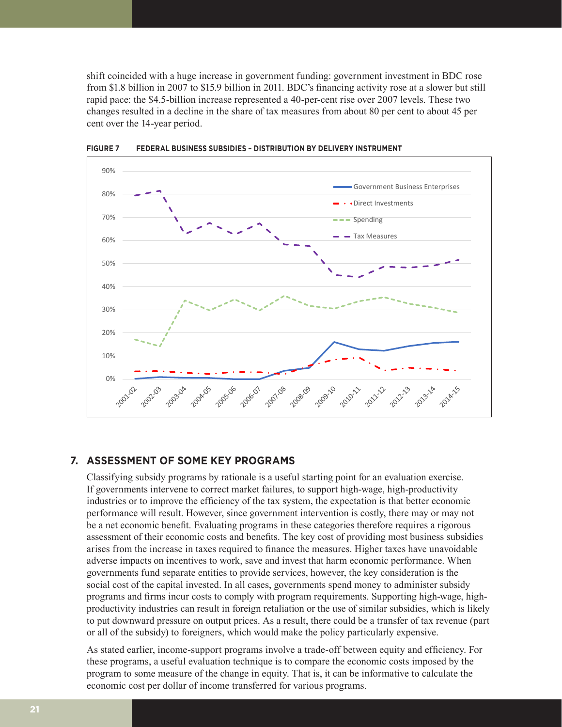shift coincided with a huge increase in government funding: government investment in BDC rose from \$1.8 billion in 2007 to \$15.9 billion in 2011. BDC's financing activity rose at a slower but still rapid pace: the \$4.5-billion increase represented a 40-per-cent rise over 2007 levels. These two changes resulted in a decline in the share of tax measures from about 80 per cent to about 45 per cent over the 14-year period.



**FIGURE 7 FEDERAL BUSINESS SUBSIDIES – DISTRIBUTION BY DELIVERY INSTRUMENT**

#### **7. ASSESSMENT OF SOME KEY PROGRAMS**

Classifying subsidy programs by rationale is a useful starting point for an evaluation exercise. If governments intervene to correct market failures, to support high-wage, high-productivity industries or to improve the efficiency of the tax system, the expectation is that better economic performance will result. However, since government intervention is costly, there may or may not be a net economic benefit. Evaluating programs in these categories therefore requires a rigorous assessment of their economic costs and benefits. The key cost of providing most business subsidies arises from the increase in taxes required to finance the measures. Higher taxes have unavoidable adverse impacts on incentives to work, save and invest that harm economic performance. When governments fund separate entities to provide services, however, the key consideration is the social cost of the capital invested. In all cases, governments spend money to administer subsidy programs and firms incur costs to comply with program requirements. Supporting high-wage, highproductivity industries can result in foreign retaliation or the use of similar subsidies, which is likely to put downward pressure on output prices. As a result, there could be a transfer of tax revenue (part or all of the subsidy) to foreigners, which would make the policy particularly expensive.

As stated earlier, income-support programs involve a trade-off between equity and efficiency. For these programs, a useful evaluation technique is to compare the economic costs imposed by the program to some measure of the change in equity. That is, it can be informative to calculate the economic cost per dollar of income transferred for various programs.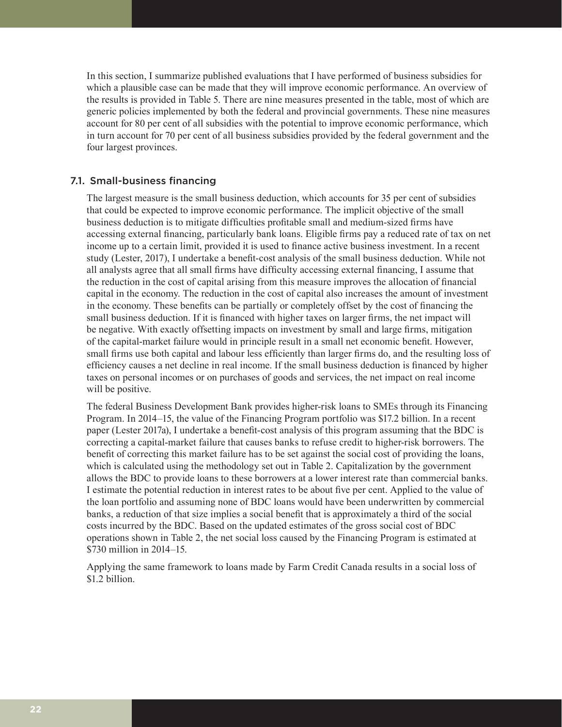In this section, I summarize published evaluations that I have performed of business subsidies for which a plausible case can be made that they will improve economic performance. An overview of the results is provided in Table 5. There are nine measures presented in the table, most of which are generic policies implemented by both the federal and provincial governments. These nine measures account for 80 per cent of all subsidies with the potential to improve economic performance, which in turn account for 70 per cent of all business subsidies provided by the federal government and the four largest provinces.

## 7.1. Small-business financing

The largest measure is the small business deduction, which accounts for 35 per cent of subsidies that could be expected to improve economic performance. The implicit objective of the small business deduction is to mitigate difficulties profitable small and medium-sized firms have accessing external financing, particularly bank loans. Eligible firms pay a reduced rate of tax on net income up to a certain limit, provided it is used to finance active business investment. In a recent study (Lester, 2017), I undertake a benefit-cost analysis of the small business deduction. While not all analysts agree that all small firms have difficulty accessing external financing, I assume that the reduction in the cost of capital arising from this measure improves the allocation of financial capital in the economy. The reduction in the cost of capital also increases the amount of investment in the economy. These benefits can be partially or completely offset by the cost of financing the small business deduction. If it is financed with higher taxes on larger firms, the net impact will be negative. With exactly offsetting impacts on investment by small and large firms, mitigation of the capital-market failure would in principle result in a small net economic benefit. However, small firms use both capital and labour less efficiently than larger firms do, and the resulting loss of efficiency causes a net decline in real income. If the small business deduction is financed by higher taxes on personal incomes or on purchases of goods and services, the net impact on real income will be positive.

The federal Business Development Bank provides higher-risk loans to SMEs through its Financing Program. In 2014–15, the value of the Financing Program portfolio was \$17.2 billion. In a recent paper (Lester 2017a), I undertake a benefit-cost analysis of this program assuming that the BDC is correcting a capital-market failure that causes banks to refuse credit to higher-risk borrowers. The benefit of correcting this market failure has to be set against the social cost of providing the loans, which is calculated using the methodology set out in Table 2. Capitalization by the government allows the BDC to provide loans to these borrowers at a lower interest rate than commercial banks. I estimate the potential reduction in interest rates to be about five per cent. Applied to the value of the loan portfolio and assuming none of BDC loans would have been underwritten by commercial banks, a reduction of that size implies a social benefit that is approximately a third of the social costs incurred by the BDC. Based on the updated estimates of the gross social cost of BDC operations shown in Table 2, the net social loss caused by the Financing Program is estimated at \$730 million in 2014–15.

Applying the same framework to loans made by Farm Credit Canada results in a social loss of \$1.2 billion.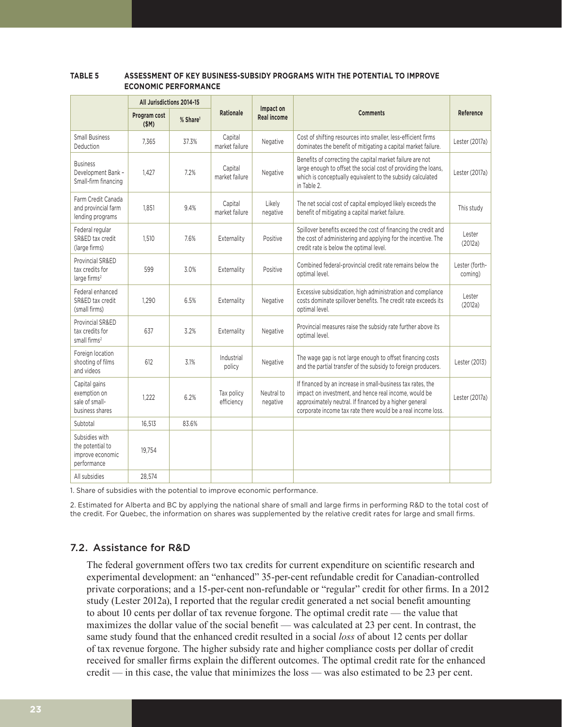#### **TABLE 5 ASSESSMENT OF KEY BUSINESS-SUBSIDY PROGRAMS WITH THE POTENTIAL TO IMPROVE ECONOMIC PERFORMANCE**

|                                                                       | All Jurisdictions 2014-15 |                      |                           |                                 |                                                                                                                                                                                                                                                |                           |
|-----------------------------------------------------------------------|---------------------------|----------------------|---------------------------|---------------------------------|------------------------------------------------------------------------------------------------------------------------------------------------------------------------------------------------------------------------------------------------|---------------------------|
|                                                                       | Program cost<br>(SM)      | % Share <sup>1</sup> | <b>Rationale</b>          | Impact on<br><b>Real income</b> | <b>Comments</b>                                                                                                                                                                                                                                | Reference                 |
| <b>Small Business</b><br>Deduction                                    | 7.365                     | 37.3%                | Capital<br>market failure | Negative                        | Cost of shifting resources into smaller, less-efficient firms<br>dominates the benefit of mitigating a capital market failure.                                                                                                                 | Lester (2017a)            |
| <b>Business</b><br>Development Bank -<br>Small-firm financing         | 1.427                     | 7.2%                 | Capital<br>market failure | Negative                        | Benefits of correcting the capital market failure are not<br>large enough to offset the social cost of providing the loans,<br>which is conceptually equivalent to the subsidy calculated<br>in Table 2.                                       | Lester (2017a)            |
| Farm Credit Canada<br>and provincial farm<br>lending programs         | 1.851                     | 9.4%                 | Capital<br>market failure | Likely<br>negative              | The net social cost of capital employed likely exceeds the<br>benefit of mitigating a capital market failure.                                                                                                                                  | This study                |
| Federal regular<br>SR&ED tax credit<br>(large firms)                  | 1.510                     | 7.6%                 | Externality               | Positive                        | Spillover benefits exceed the cost of financing the credit and<br>the cost of administering and applying for the incentive. The<br>credit rate is below the optimal level.                                                                     | Lester<br>(2012a)         |
| Provincial SR&ED<br>tax credits for<br>large firms <sup>2</sup>       | 599                       | 3.0%                 | Externality               | Positive                        | Combined federal-provincial credit rate remains below the<br>optimal level.                                                                                                                                                                    | Lester (forth-<br>coming) |
| Federal enhanced<br>SR&ED tax credit<br>(small firms)                 | 1.290                     | 6.5%                 | Externality               | Negative                        | Excessive subsidization, high administration and compliance<br>costs dominate spillover benefits. The credit rate exceeds its<br>optimal level.                                                                                                | Lester<br>(2012a)         |
| Provincial SR&ED<br>tax credits for<br>small firms <sup>2</sup>       | 637                       | 3.2%                 | Externality               | Negative                        | Provincial measures raise the subsidy rate further above its<br>optimal level.                                                                                                                                                                 |                           |
| Foreign location<br>shooting of films<br>and videos                   | 612                       | 3.1%                 | Industrial<br>policy      | Negative                        | The wage gap is not large enough to offset financing costs<br>and the partial transfer of the subsidy to foreign producers.                                                                                                                    | Lester (2013)             |
| Capital gains<br>exemption on<br>sale of small-<br>business shares    | 1.222                     | 6.2%                 | Tax policy<br>efficiency  | Neutral to<br>negative          | If financed by an increase in small-business tax rates, the<br>impact on investment, and hence real income, would be<br>approximately neutral. If financed by a higher general<br>corporate income tax rate there would be a real income loss. | Lester (2017a)            |
| Subtotal                                                              | 16,513                    | 83.6%                |                           |                                 |                                                                                                                                                                                                                                                |                           |
| Subsidies with<br>the potential to<br>improve economic<br>performance | 19.754                    |                      |                           |                                 |                                                                                                                                                                                                                                                |                           |
| All subsidies                                                         | 28,574                    |                      |                           |                                 |                                                                                                                                                                                                                                                |                           |

1. Share of subsidies with the potential to improve economic performance.

2. Estimated for Alberta and BC by applying the national share of small and large firms in performing R&D to the total cost of the credit. For Quebec, the information on shares was supplemented by the relative credit rates for large and small firms.

# 7.2. Assistance for R&D

The federal government offers two tax credits for current expenditure on scientific research and experimental development: an "enhanced" 35-per-cent refundable credit for Canadian-controlled private corporations; and a 15-per-cent non-refundable or "regular" credit for other firms. In a 2012 study (Lester 2012a), I reported that the regular credit generated a net social benefit amounting to about 10 cents per dollar of tax revenue forgone. The optimal credit rate — the value that maximizes the dollar value of the social benefit — was calculated at 23 per cent. In contrast, the same study found that the enhanced credit resulted in a social *loss* of about 12 cents per dollar of tax revenue forgone. The higher subsidy rate and higher compliance costs per dollar of credit received for smaller firms explain the different outcomes. The optimal credit rate for the enhanced credit — in this case, the value that minimizes the loss — was also estimated to be 23 per cent.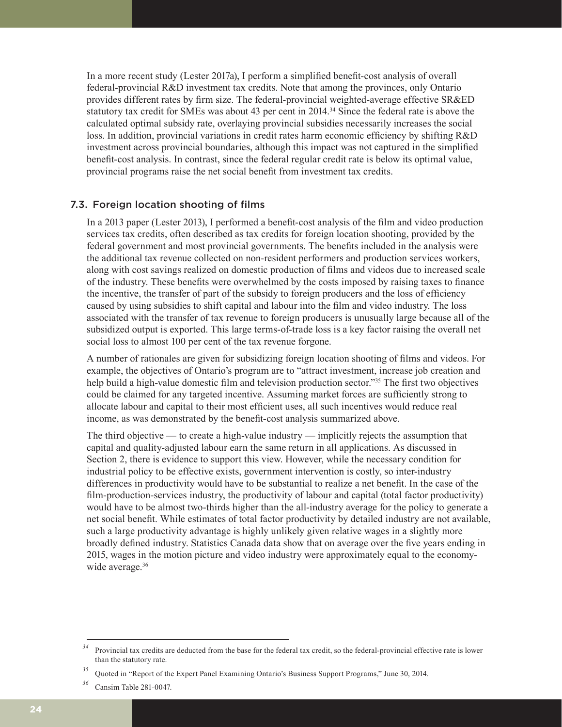In a more recent study (Lester 2017a), I perform a simplified benefit-cost analysis of overall federal-provincial R&D investment tax credits. Note that among the provinces, only Ontario provides different rates by firm size. The federal-provincial weighted-average effective SR&ED statutory tax credit for SMEs was about 43 per cent in 2014.34 Since the federal rate is above the calculated optimal subsidy rate, overlaying provincial subsidies necessarily increases the social loss. In addition, provincial variations in credit rates harm economic efficiency by shifting R&D investment across provincial boundaries, although this impact was not captured in the simplified benefit-cost analysis. In contrast, since the federal regular credit rate is below its optimal value, provincial programs raise the net social benefit from investment tax credits.

## 7.3. Foreign location shooting of films

In a 2013 paper (Lester 2013), I performed a benefit-cost analysis of the film and video production services tax credits, often described as tax credits for foreign location shooting, provided by the federal government and most provincial governments. The benefits included in the analysis were the additional tax revenue collected on non-resident performers and production services workers, along with cost savings realized on domestic production of films and videos due to increased scale of the industry. These benefits were overwhelmed by the costs imposed by raising taxes to finance the incentive, the transfer of part of the subsidy to foreign producers and the loss of efficiency caused by using subsidies to shift capital and labour into the film and video industry. The loss associated with the transfer of tax revenue to foreign producers is unusually large because all of the subsidized output is exported. This large terms-of-trade loss is a key factor raising the overall net social loss to almost 100 per cent of the tax revenue forgone.

A number of rationales are given for subsidizing foreign location shooting of films and videos. For example, the objectives of Ontario's program are to "attract investment, increase job creation and help build a high-value domestic film and television production sector."<sup>35</sup> The first two objectives could be claimed for any targeted incentive. Assuming market forces are sufficiently strong to allocate labour and capital to their most efficient uses, all such incentives would reduce real income, as was demonstrated by the benefit-cost analysis summarized above.

The third objective — to create a high-value industry — implicitly rejects the assumption that capital and quality-adjusted labour earn the same return in all applications. As discussed in Section 2, there is evidence to support this view. However, while the necessary condition for industrial policy to be effective exists, government intervention is costly, so inter-industry differences in productivity would have to be substantial to realize a net benefit. In the case of the film-production-services industry, the productivity of labour and capital (total factor productivity) would have to be almost two-thirds higher than the all-industry average for the policy to generate a net social benefit. While estimates of total factor productivity by detailed industry are not available, such a large productivity advantage is highly unlikely given relative wages in a slightly more broadly defined industry. Statistics Canada data show that on average over the five years ending in 2015, wages in the motion picture and video industry were approximately equal to the economywide average.<sup>36</sup>

*<sup>34</sup>* Provincial tax credits are deducted from the base for the federal tax credit, so the federal-provincial effective rate is lower than the statutory rate.

*<sup>35</sup>* Quoted in "Report of the Expert Panel Examining Ontario's Business Support Programs," June 30, 2014.

*<sup>36</sup>* Cansim Table 281-0047.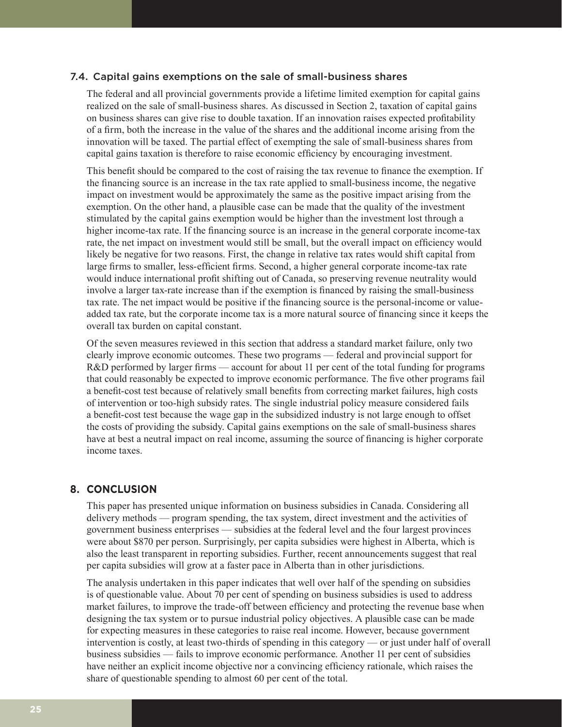#### 7.4. Capital gains exemptions on the sale of small-business shares

The federal and all provincial governments provide a lifetime limited exemption for capital gains realized on the sale of small-business shares. As discussed in Section 2, taxation of capital gains on business shares can give rise to double taxation. If an innovation raises expected profitability of a firm, both the increase in the value of the shares and the additional income arising from the innovation will be taxed. The partial effect of exempting the sale of small-business shares from capital gains taxation is therefore to raise economic efficiency by encouraging investment.

This benefit should be compared to the cost of raising the tax revenue to finance the exemption. If the financing source is an increase in the tax rate applied to small-business income, the negative impact on investment would be approximately the same as the positive impact arising from the exemption. On the other hand, a plausible case can be made that the quality of the investment stimulated by the capital gains exemption would be higher than the investment lost through a higher income-tax rate. If the financing source is an increase in the general corporate income-tax rate, the net impact on investment would still be small, but the overall impact on efficiency would likely be negative for two reasons. First, the change in relative tax rates would shift capital from large firms to smaller, less-efficient firms. Second, a higher general corporate income-tax rate would induce international profit shifting out of Canada, so preserving revenue neutrality would involve a larger tax-rate increase than if the exemption is financed by raising the small-business tax rate. The net impact would be positive if the financing source is the personal-income or valueadded tax rate, but the corporate income tax is a more natural source of financing since it keeps the overall tax burden on capital constant.

Of the seven measures reviewed in this section that address a standard market failure, only two clearly improve economic outcomes. These two programs — federal and provincial support for R&D performed by larger firms — account for about 11 per cent of the total funding for programs that could reasonably be expected to improve economic performance. The five other programs fail a benefit-cost test because of relatively small benefits from correcting market failures, high costs of intervention or too-high subsidy rates. The single industrial policy measure considered fails a benefit-cost test because the wage gap in the subsidized industry is not large enough to offset the costs of providing the subsidy. Capital gains exemptions on the sale of small-business shares have at best a neutral impact on real income, assuming the source of financing is higher corporate income taxes.

## **8. CONCLUSION**

This paper has presented unique information on business subsidies in Canada. Considering all delivery methods — program spending, the tax system, direct investment and the activities of government business enterprises — subsidies at the federal level and the four largest provinces were about \$870 per person. Surprisingly, per capita subsidies were highest in Alberta, which is also the least transparent in reporting subsidies. Further, recent announcements suggest that real per capita subsidies will grow at a faster pace in Alberta than in other jurisdictions.

The analysis undertaken in this paper indicates that well over half of the spending on subsidies is of questionable value. About 70 per cent of spending on business subsidies is used to address market failures, to improve the trade-off between efficiency and protecting the revenue base when designing the tax system or to pursue industrial policy objectives. A plausible case can be made for expecting measures in these categories to raise real income. However, because government intervention is costly, at least two-thirds of spending in this category — or just under half of overall business subsidies — fails to improve economic performance. Another 11 per cent of subsidies have neither an explicit income objective nor a convincing efficiency rationale, which raises the share of questionable spending to almost 60 per cent of the total.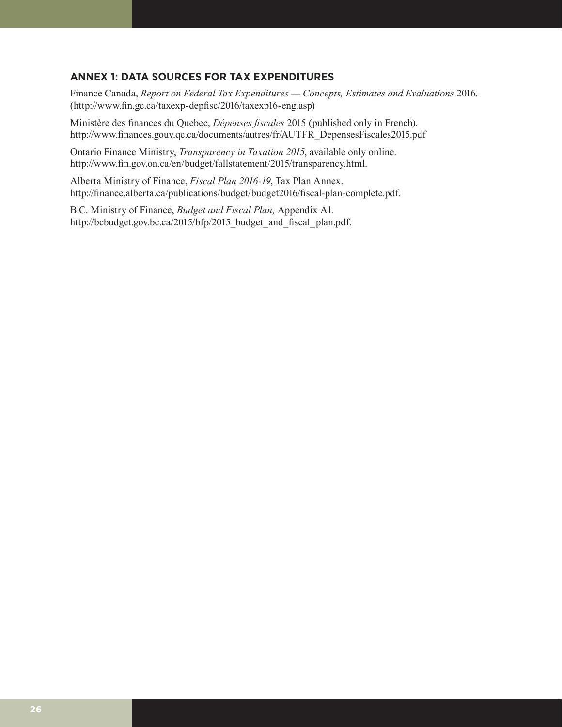# **ANNEX 1: DATA SOURCES FOR TAX EXPENDITURES**

Finance Canada, *Report on Federal Tax Expenditures — Concepts, Estimates and Evaluations* 2016. (<http://www.fin.gc.ca/taxexp-depfisc/2016/taxexp16-eng.asp>)

Ministère des finances du Quebec, *Dépenses fiscales* 2015 (published only in French). [http://www.finances.gouv.qc.ca/documents/autres/fr/AUTFR\\_DepensesFiscales2015.pdf](http://www.finances.gouv.qc.ca/documents/autres/fr/AUTFR_DepensesFiscales2015.pdf)

Ontario Finance Ministry, *Transparency in Taxation 2015*, available only online. <http://www.fin.gov.on.ca/en/budget/fallstatement/2015/transparency.html>.

Alberta Ministry of Finance, *Fiscal Plan 2016-19*, Tax Plan Annex. <http://finance.alberta.ca/publications/budget/budget2016/fiscal-plan-complete.pdf>.

B.C. Ministry of Finance, *Budget and Fiscal Plan,* Appendix A1*.* [http://bcbudget.gov.bc.ca/2015/bfp/2015\\_budget\\_and\\_fiscal\\_plan.pdf](http://bcbudget.gov.bc.ca/2015/bfp/2015_budget_and_fiscal_plan.pdf).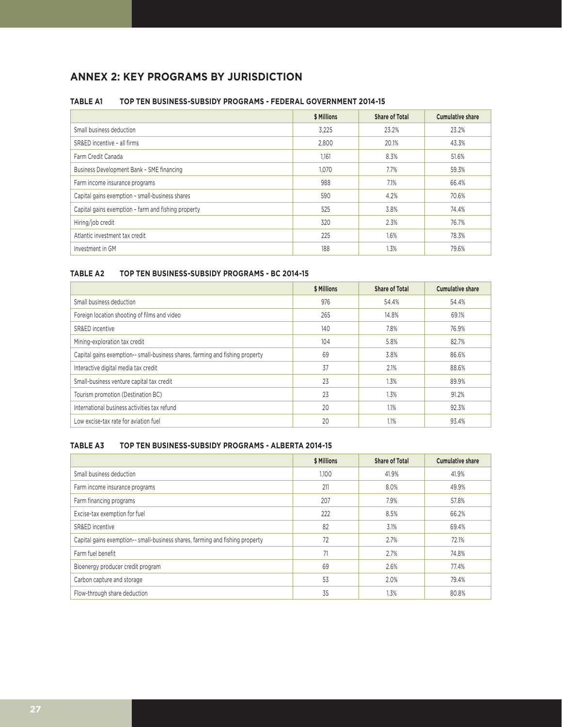# **ANNEX 2: KEY PROGRAMS BY JURISDICTION**

#### **TABLE A1 TOP TEN BUSINESS-SUBSIDY PROGRAMS - FEDERAL GOVERNMENT 2014-15**

|                                                     | \$ Millions | <b>Share of Total</b> | <b>Cumulative share</b> |
|-----------------------------------------------------|-------------|-----------------------|-------------------------|
| Small business deduction                            | 3,225       | 23.2%                 | 23.2%                   |
| SR&ED incentive - all firms                         | 2.800       | 20.1%                 | 43.3%                   |
| Farm Credit Canada                                  | 1,161       | 8.3%                  | 51.6%                   |
| Business Development Bank - SME financing           | 1.070       | 7.7%                  | 59.3%                   |
| Farm income insurance programs                      | 988         | 7.1%                  | 66.4%                   |
| Capital gains exemption - small-business shares     | 590         | 4.2%                  | 70.6%                   |
| Capital gains exemption - farm and fishing property | 525         | 3.8%                  | 74.4%                   |
| Hiring/job credit                                   | 320         | 2.3%                  | 76.7%                   |
| Atlantic investment tax credit                      | 225         | 1.6%                  | 78.3%                   |
| Investment in GM                                    | 188         | 1.3%                  | 79.6%                   |

## **TABLE A2 TOP TEN BUSINESS-SUBSIDY PROGRAMS - BC 2014-15**

|                                                                               | \$ Millions | <b>Share of Total</b> | <b>Cumulative share</b> |
|-------------------------------------------------------------------------------|-------------|-----------------------|-------------------------|
| Small business deduction                                                      | 976         | 54.4%                 | 54.4%                   |
| Foreign location shooting of films and video                                  | 265         | 14.8%                 | 69.1%                   |
| SR&ED incentive                                                               | 140         | 7.8%                  | 76.9%                   |
| Mining-exploration tax credit                                                 | 104         | 5.8%                  | 82.7%                   |
| Capital gains exemption-- small-business shares, farming and fishing property | 69          | 3.8%                  | 86.6%                   |
| Interactive digital media tax credit                                          | 37          | 2.1%                  | 88.6%                   |
| Small-business venture capital tax credit                                     | 23          | 1.3%                  | 89.9%                   |
| Tourism promotion (Destination BC)                                            | 23          | 1.3%                  | 91.2%                   |
| International business activities tax refund                                  | 20          | 1.1%                  | 92.3%                   |
| Low excise-tax rate for aviation fuel                                         | 20          | $1.1\%$               | 93.4%                   |

#### **TABLE A3 TOP TEN BUSINESS-SUBSIDY PROGRAMS - ALBERTA 2014-15**

|                                                                               | \$ Millions | <b>Share of Total</b> | <b>Cumulative share</b> |
|-------------------------------------------------------------------------------|-------------|-----------------------|-------------------------|
| Small business deduction                                                      | 1,100       | 41.9%                 | 41.9%                   |
| Farm income insurance programs                                                | 211         | 8.0%                  | 49.9%                   |
| Farm financing programs                                                       | 207         | 7.9%                  | 57.8%                   |
| Excise-tax exemption for fuel                                                 | 222         | 8.5%                  | 66.2%                   |
| SR&ED incentive                                                               | 82          | 3.1%                  | 69.4%                   |
| Capital gains exemption-- small-business shares, farming and fishing property | 72          | 2.7%                  | 72.1%                   |
| Farm fuel benefit                                                             | 71          | 2.7%                  | 74.8%                   |
| Bioenergy producer credit program                                             | 69          | 2.6%                  | 77.4%                   |
| Carbon capture and storage                                                    | 53          | 2.0%                  | 79.4%                   |
| Flow-through share deduction                                                  | 35          | 1.3%                  | 80.8%                   |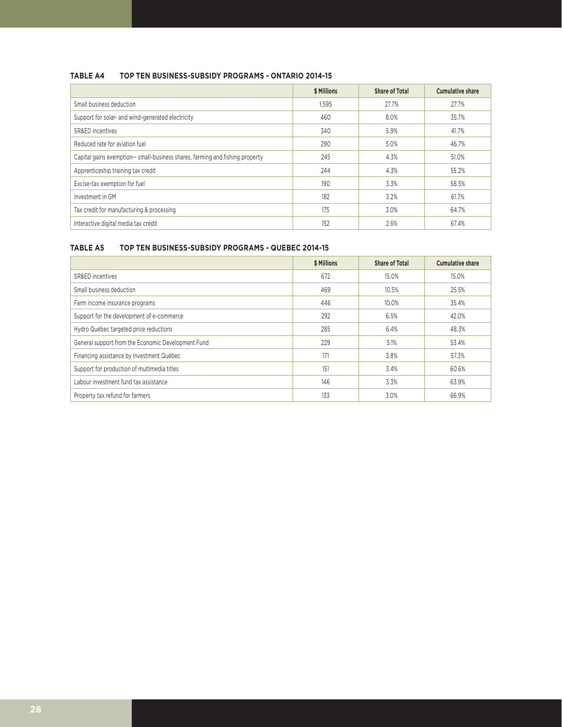#### **TABLE A4 TOP TEN BUSINESS-SUBSIDY PROGRAMS - ONTARIO 2014-15**

|                                                                               | \$ Millions | <b>Share of Total</b> | <b>Cumulative share</b> |
|-------------------------------------------------------------------------------|-------------|-----------------------|-------------------------|
| Small business deduction                                                      | 1,595       | 27.7%                 | 27.7%                   |
| Support for solar- and wind-generated electricity                             | 460         | 8.0%                  | 35.7%                   |
| SR&ED incentives                                                              | 340         | 5.9%                  | 41.7%                   |
| Reduced rate for aviation fuel                                                | 290         | 5.0%                  | 46.7%                   |
| Capital gains exemption-- small-business shares, farming and fishing property | 245         | 4.3%                  | 51.0%                   |
| Apprenticeship training tax credit                                            | 244         | 4.3%                  | 55.2%                   |
| Excise-tax exemption for fuel                                                 | 190         | 3.3%                  | 58.5%                   |
| Investment in GM                                                              | 182         | 3.2%                  | 61.7%                   |
| Tax credit for manufacturing & processing                                     | 175         | 3.0%                  | 64.7%                   |
| Interactive digital media tax credit                                          | 152         | 2.6%                  | 67.4%                   |

#### **TABLE A5 TOP TEN BUSINESS-SUBSIDY PROGRAMS - QUEBEC 2014-15**

|                                                    | \$ Millions | <b>Share of Total</b> | <b>Cumulative share</b> |
|----------------------------------------------------|-------------|-----------------------|-------------------------|
| SR&ED incentives                                   | 672         | 15.0%                 | 15.0%                   |
| Small business deduction                           | 469         | 10.5%                 | 25.5%                   |
| Farm income insurance programs                     | 446         | 10.0%                 | 35.4%                   |
| Support for the development of e-commerce          | 292         | 6.5%                  | 42.0%                   |
| Hydro Québec targeted price reductions             | 285         | 6.4%                  | 48.3%                   |
| General support from the Economic Development Fund | 229         | 5.1%                  | 53.4%                   |
| Financing assistance by Investment Québec          | 171         | 3.8%                  | 57.3%                   |
| Support for production of multimedia titles        | 151         | 3.4%                  | 60.6%                   |
| Labour investment fund tax assistance              | 146         | 3.3%                  | 63.9%                   |
| Property tax refund for farmers                    | 133         | 3.0%                  | 66.9%                   |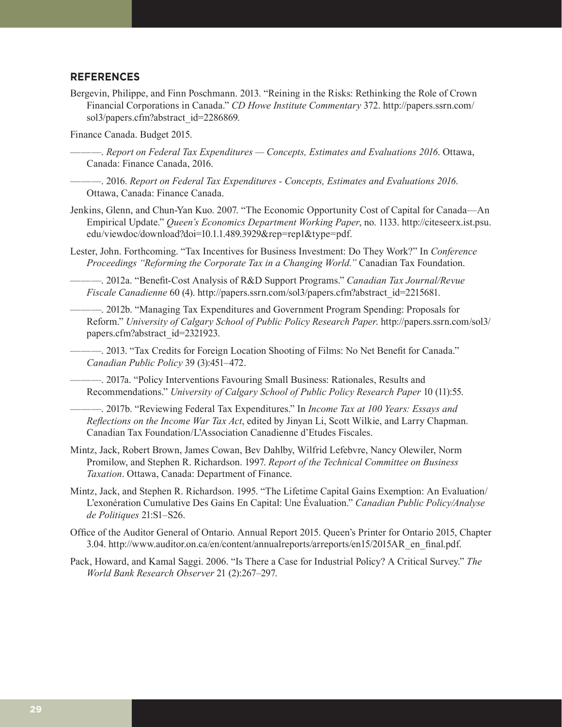#### **REFERENCES**

Bergevin, Philippe, and Finn Poschmann. 2013. "Reining in the Risks: Rethinking the Role of Crown Financial Corporations in Canada." *CD Howe Institute Commentary* 372. [http://papers.ssrn.com/](http://papers.ssrn.com/sol3/papers.cfm?abstract_id=2286869) [sol3/papers.cfm?abstract\\_id=2286869](http://papers.ssrn.com/sol3/papers.cfm?abstract_id=2286869).

Finance Canada. Budget 2015.

- ———. *Report on Federal Tax Expenditures Concepts, Estimates and Evaluations 2016*. Ottawa, Canada: Finance Canada, 2016.
- ———. 2016. *Report on Federal Tax Expenditures Concepts, Estimates and Evaluations 2016*. Ottawa, Canada: Finance Canada.
- Jenkins, Glenn, and Chun-Yan Kuo. 2007. "The Economic Opportunity Cost of Capital for Canada—An Empirical Update." *Queen's Economics Department Working Paper*, no. 1133. [http://citeseerx.ist.psu.](http://citeseerx.ist.psu.edu/viewdoc/download?doi=10.1.1.489.3929&rep=rep1&type=pdf) [edu/viewdoc/download?doi=10.1.1.489.3929&rep=rep1&type=pdf](http://citeseerx.ist.psu.edu/viewdoc/download?doi=10.1.1.489.3929&rep=rep1&type=pdf).
- Lester, John. Forthcoming. "Tax Incentives for Business Investment: Do They Work?" In *Conference Proceedings "Reforming the Corporate Tax in a Changing World."* Canadian Tax Foundation.
	- ———. 2012a. "Benefit-Cost Analysis of R&D Support Programs." *Canadian Tax Journal/Revue Fiscale Canadienne* 60 (4). [http://papers.ssrn.com/sol3/papers.cfm?abstract\\_id=2215681](http://papers.ssrn.com/sol3/papers.cfm?abstract_id=2215681).
	- ———. 2012b. "Managing Tax Expenditures and Government Program Spending: Proposals for Reform." *University of Calgary School of Public Policy Research Paper*. [http://papers.ssrn.com/sol3/](http://papers.ssrn.com/sol3/papers.cfm?abstract_id=2321923) [papers.cfm?abstract\\_id=2321923](http://papers.ssrn.com/sol3/papers.cfm?abstract_id=2321923).
	- ———. 2013. "Tax Credits for Foreign Location Shooting of Films: No Net Benefit for Canada." *Canadian Public Policy* 39 (3):451–472.
- ———. 2017a. "Policy Interventions Favouring Small Business: Rationales, Results and Recommendations." *University of Calgary School of Public Policy Research Paper* 10 (11):55.
- ———. 2017b. "Reviewing Federal Tax Expenditures." In *Income Tax at 100 Years: Essays and Reflections on the Income War Tax Act*, edited by Jinyan Li, Scott Wilkie, and Larry Chapman. Canadian Tax Foundation/L'Association Canadienne d'Etudes Fiscales.
- Mintz, Jack, Robert Brown, James Cowan, Bev Dahlby, Wilfrid Lefebvre, Nancy Olewiler, Norm Promilow, and Stephen R. Richardson. 1997. *Report of the Technical Committee on Business Taxation*. Ottawa, Canada: Department of Finance.
- Mintz, Jack, and Stephen R. Richardson. 1995. "The Lifetime Capital Gains Exemption: An Evaluation/ L'exonération Cumulative Des Gains En Capital: Une Évaluation." *Canadian Public Policy/Analyse de Politiques* 21:S1–S26.
- Office of the Auditor General of Ontario. Annual Report 2015. Queen's Printer for Ontario 2015, Chapter 3.04. [http://www.auditor.on.ca/en/content/annualreports/arreports/en15/2015AR\\_en\\_final.pdf](http://www.auditor.on.ca/en/content/annualreports/arreports/en15/2015AR_en_final.pdf).
- Pack, Howard, and Kamal Saggi. 2006. "Is There a Case for Industrial Policy? A Critical Survey." *The World Bank Research Observer* 21 (2):267–297.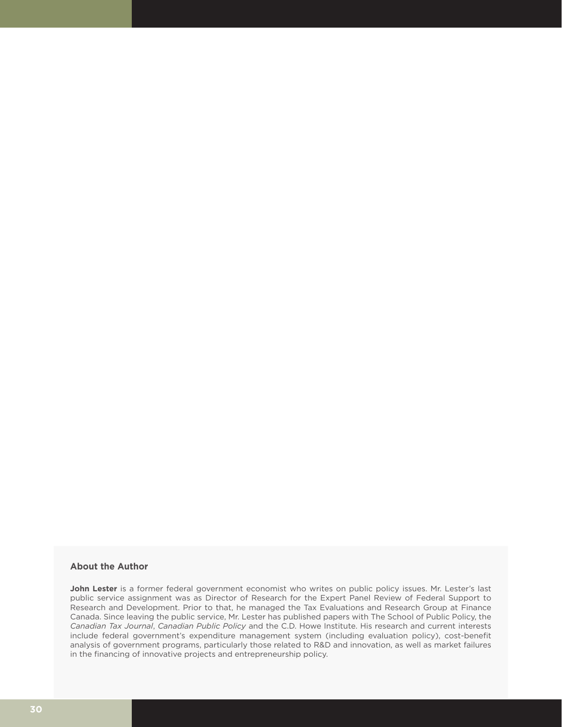#### **About the Author**

**John Lester** is a former federal government economist who writes on public policy issues. Mr. Lester's last public service assignment was as Director of Research for the Expert Panel Review of Federal Support to Research and Development. Prior to that, he managed the Tax Evaluations and Research Group at Finance Canada. Since leaving the public service, Mr. Lester has published papers with The School of Public Policy, the *Canadian Tax Journal*, *Canadian Public Policy* and the C.D. Howe Institute. His research and current interests include federal government's expenditure management system (including evaluation policy), cost-benefit analysis of government programs, particularly those related to R&D and innovation, as well as market failures in the financing of innovative projects and entrepreneurship policy.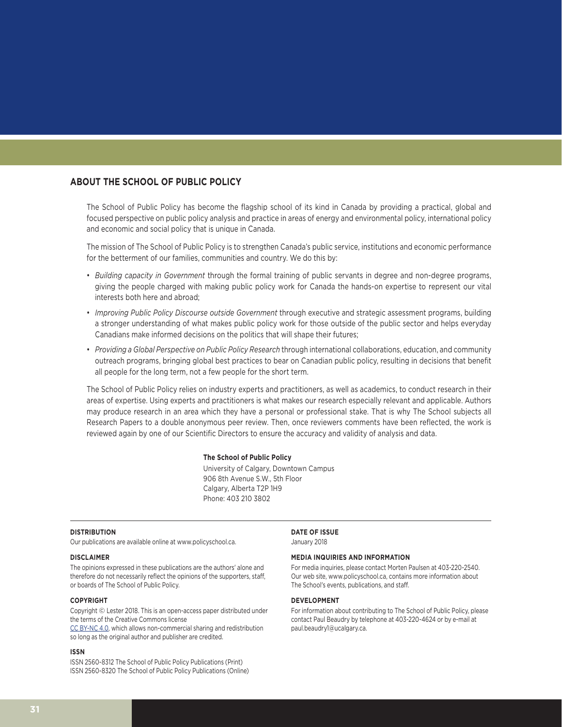#### **ABOUT THE SCHOOL OF PUBLIC POLICY**

The School of Public Policy has become the flagship school of its kind in Canada by providing a practical, global and focused perspective on public policy analysis and practice in areas of energy and environmental policy, international policy and economic and social policy that is unique in Canada.

The mission of The School of Public Policy is to strengthen Canada's public service, institutions and economic performance for the betterment of our families, communities and country. We do this by:

- *Building capacity in Government* through the formal training of public servants in degree and non-degree programs, giving the people charged with making public policy work for Canada the hands-on expertise to represent our vital interests both here and abroad;
- *Improving Public Policy Discourse outside Government* through executive and strategic assessment programs, building a stronger understanding of what makes public policy work for those outside of the public sector and helps everyday Canadians make informed decisions on the politics that will shape their futures;
- *Providing a Global Perspective on Public Policy Research* through international collaborations, education, and community outreach programs, bringing global best practices to bear on Canadian public policy, resulting in decisions that benefit all people for the long term, not a few people for the short term.

The School of Public Policy relies on industry experts and practitioners, as well as academics, to conduct research in their areas of expertise. Using experts and practitioners is what makes our research especially relevant and applicable. Authors may produce research in an area which they have a personal or professional stake. That is why The School subjects all Research Papers to a double anonymous peer review. Then, once reviewers comments have been reflected, the work is reviewed again by one of our Scientific Directors to ensure the accuracy and validity of analysis and data.

#### **The School of Public Policy**

University of Calgary, Downtown Campus 906 8th Avenue S.W., 5th Floor Calgary, Alberta T2P 1H9 Phone: 403 210 3802

#### **DISTRIBUTION**

Our publications are available online at www.policyschool.ca.

#### **DISCLAIMER**

The opinions expressed in these publications are the authors' alone and therefore do not necessarily reflect the opinions of the supporters, staff, or boards of The School of Public Policy.

#### **COPYRIGHT**

Copyright © Lester 2018. This is an open-access paper distributed under the terms of the Creative Commons license

[CC BY-NC 4.0](https://creativecommons.org/licenses/by-nc/4.0/), which allows non-commercial sharing and redistribution so long as the original author and publisher are credited.

#### **ISSN**

ISSN 2560-8312 The School of Public Policy Publications (Print) ISSN 2560-8320 The School of Public Policy Publications (Online) **DATE OF ISSUE** January 2018

#### **MEDIA INQUIRIES AND INFORMATION**

For media inquiries, please contact Morten Paulsen at 403-220-2540. Our web site, www.policyschool.ca, contains more information about The School's events, publications, and staff.

#### **DEVELOPMENT**

For information about contributing to The School of Public Policy, please contact Paul Beaudry by telephone at 403-220-4624 or by e-mail at paul.beaudry1@ucalgary.ca.